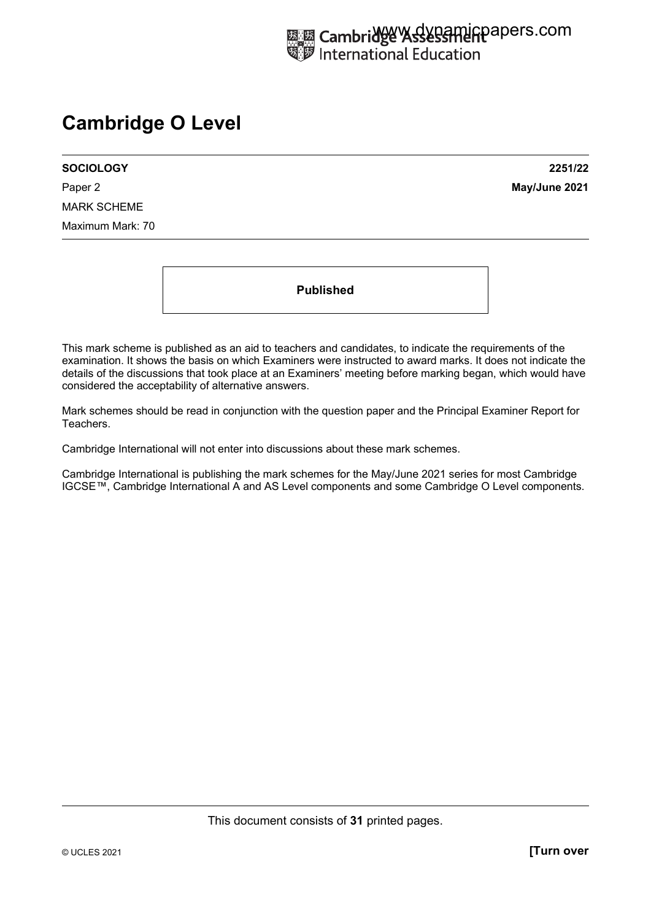# **Cambridge O Level**

**SOCIOLOGY 2251/22**  Paper 2 **May/June 2021** MARK SCHEME Maximum Mark: 70

**Published** 

This mark scheme is published as an aid to teachers and candidates, to indicate the requirements of the examination. It shows the basis on which Examiners were instructed to award marks. It does not indicate the details of the discussions that took place at an Examiners' meeting before marking began, which would have considered the acceptability of alternative answers.

Mark schemes should be read in conjunction with the question paper and the Principal Examiner Report for Teachers.

Cambridge International will not enter into discussions about these mark schemes.

Cambridge International is publishing the mark schemes for the May/June 2021 series for most Cambridge IGCSE™, Cambridge International A and AS Level components and some Cambridge O Level components.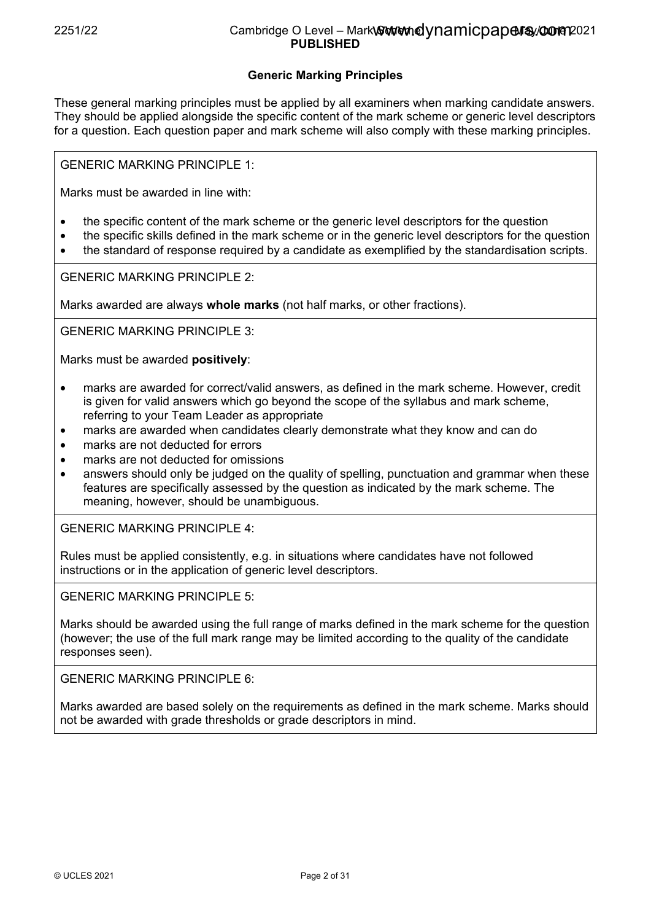# 2251/22 Cambridge O Level – Mark Scheme May/June 2021 www.dynamicpapers.com**PUBLISHED**

# **Generic Marking Principles**

These general marking principles must be applied by all examiners when marking candidate answers. They should be applied alongside the specific content of the mark scheme or generic level descriptors for a question. Each question paper and mark scheme will also comply with these marking principles.

GENERIC MARKING PRINCIPLE 1:

Marks must be awarded in line with:

- the specific content of the mark scheme or the generic level descriptors for the question
- the specific skills defined in the mark scheme or in the generic level descriptors for the question
- the standard of response required by a candidate as exemplified by the standardisation scripts.

GENERIC MARKING PRINCIPLE 2:

Marks awarded are always **whole marks** (not half marks, or other fractions).

GENERIC MARKING PRINCIPLE 3:

Marks must be awarded **positively**:

- marks are awarded for correct/valid answers, as defined in the mark scheme. However, credit is given for valid answers which go beyond the scope of the syllabus and mark scheme, referring to your Team Leader as appropriate
- marks are awarded when candidates clearly demonstrate what they know and can do
- marks are not deducted for errors
- marks are not deducted for omissions
- answers should only be judged on the quality of spelling, punctuation and grammar when these features are specifically assessed by the question as indicated by the mark scheme. The meaning, however, should be unambiguous.

GENERIC MARKING PRINCIPLE 4:

Rules must be applied consistently, e.g. in situations where candidates have not followed instructions or in the application of generic level descriptors.

GENERIC MARKING PRINCIPLE 5:

Marks should be awarded using the full range of marks defined in the mark scheme for the question (however; the use of the full mark range may be limited according to the quality of the candidate responses seen).

GENERIC MARKING PRINCIPLE 6:

Marks awarded are based solely on the requirements as defined in the mark scheme. Marks should not be awarded with grade thresholds or grade descriptors in mind.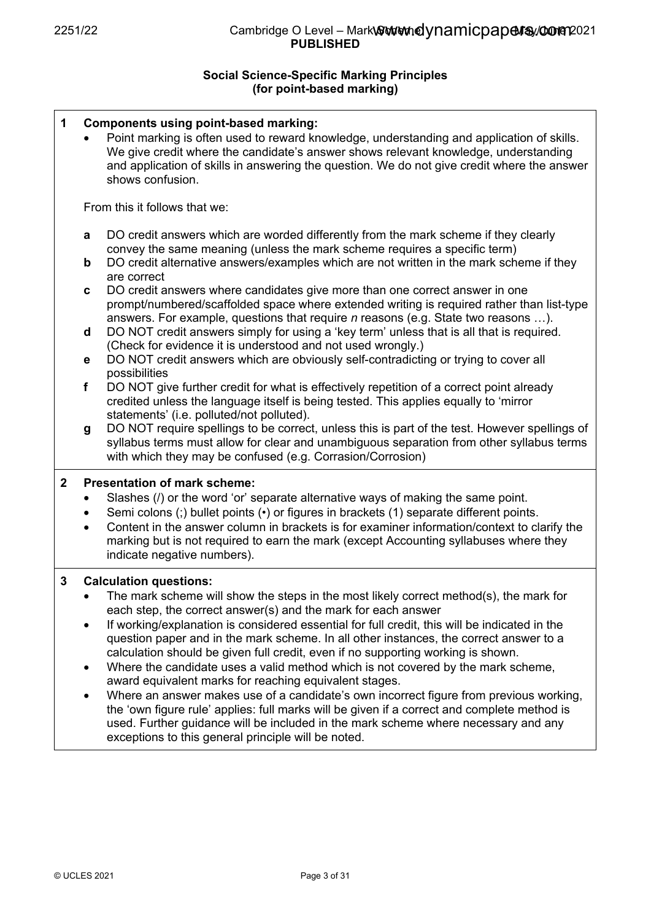# **Social Science-Specific Marking Principles (for point-based marking)**

| 1            | <b>Components using point-based marking:</b><br>Point marking is often used to reward knowledge, understanding and application of skills.<br>We give credit where the candidate's answer shows relevant knowledge, understanding<br>and application of skills in answering the question. We do not give credit where the answer<br>shows confusion.                                                                                                                                                                                                                                                                                                                                                                                                                                                                                                                                                                                                                                        |
|--------------|--------------------------------------------------------------------------------------------------------------------------------------------------------------------------------------------------------------------------------------------------------------------------------------------------------------------------------------------------------------------------------------------------------------------------------------------------------------------------------------------------------------------------------------------------------------------------------------------------------------------------------------------------------------------------------------------------------------------------------------------------------------------------------------------------------------------------------------------------------------------------------------------------------------------------------------------------------------------------------------------|
|              | From this it follows that we:                                                                                                                                                                                                                                                                                                                                                                                                                                                                                                                                                                                                                                                                                                                                                                                                                                                                                                                                                              |
|              | DO credit answers which are worded differently from the mark scheme if they clearly<br>a<br>convey the same meaning (unless the mark scheme requires a specific term)<br>DO credit alternative answers/examples which are not written in the mark scheme if they<br>$\mathbf b$<br>are correct                                                                                                                                                                                                                                                                                                                                                                                                                                                                                                                                                                                                                                                                                             |
|              | DO credit answers where candidates give more than one correct answer in one<br>C<br>prompt/numbered/scaffolded space where extended writing is required rather than list-type<br>answers. For example, questions that require $n$ reasons (e.g. State two reasons ).<br>DO NOT credit answers simply for using a 'key term' unless that is all that is required.<br>d                                                                                                                                                                                                                                                                                                                                                                                                                                                                                                                                                                                                                      |
|              | (Check for evidence it is understood and not used wrongly.)<br>DO NOT credit answers which are obviously self-contradicting or trying to cover all<br>$\mathbf e$                                                                                                                                                                                                                                                                                                                                                                                                                                                                                                                                                                                                                                                                                                                                                                                                                          |
|              | possibilities<br>DO NOT give further credit for what is effectively repetition of a correct point already<br>f<br>credited unless the language itself is being tested. This applies equally to 'mirror<br>statements' (i.e. polluted/not polluted).                                                                                                                                                                                                                                                                                                                                                                                                                                                                                                                                                                                                                                                                                                                                        |
|              | DO NOT require spellings to be correct, unless this is part of the test. However spellings of<br>g<br>syllabus terms must allow for clear and unambiguous separation from other syllabus terms<br>with which they may be confused (e.g. Corrasion/Corrosion)                                                                                                                                                                                                                                                                                                                                                                                                                                                                                                                                                                                                                                                                                                                               |
| $\mathbf{2}$ | <b>Presentation of mark scheme:</b><br>Slashes (/) or the word 'or' separate alternative ways of making the same point.<br>$\bullet$<br>Semi colons (;) bullet points (•) or figures in brackets (1) separate different points.<br>Content in the answer column in brackets is for examiner information/context to clarify the<br>$\bullet$<br>marking but is not required to earn the mark (except Accounting syllabuses where they<br>indicate negative numbers).                                                                                                                                                                                                                                                                                                                                                                                                                                                                                                                        |
| $\mathbf{3}$ | <b>Calculation questions:</b><br>The mark scheme will show the steps in the most likely correct method(s), the mark for<br>each step, the correct answer(s) and the mark for each answer<br>If working/explanation is considered essential for full credit, this will be indicated in the<br>٠<br>question paper and in the mark scheme. In all other instances, the correct answer to a<br>calculation should be given full credit, even if no supporting working is shown.<br>Where the candidate uses a valid method which is not covered by the mark scheme,<br>$\bullet$<br>award equivalent marks for reaching equivalent stages.<br>Where an answer makes use of a candidate's own incorrect figure from previous working,<br>$\bullet$<br>the 'own figure rule' applies: full marks will be given if a correct and complete method is<br>used. Further guidance will be included in the mark scheme where necessary and any<br>exceptions to this general principle will be noted. |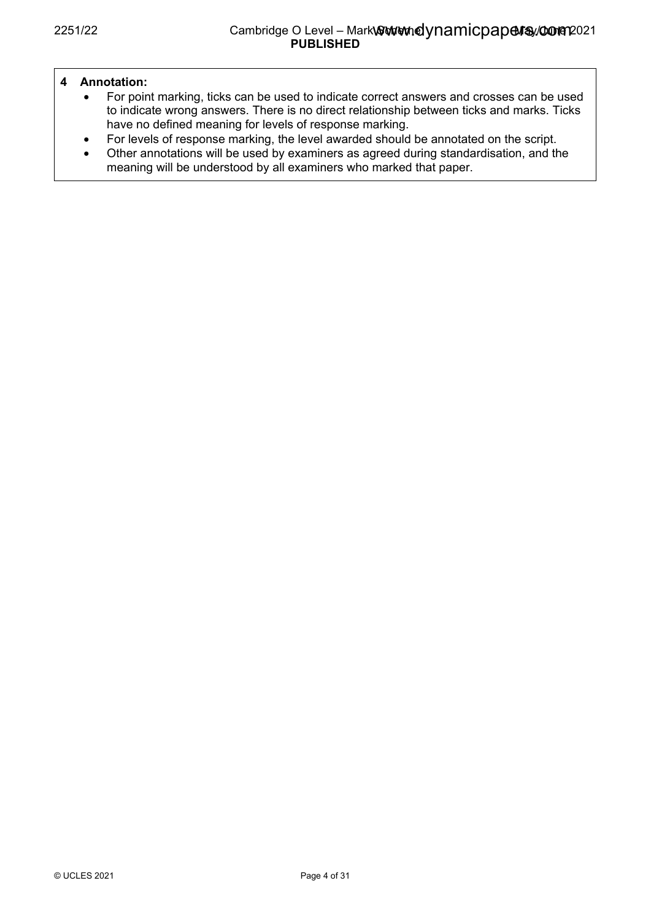# **4 Annotation:**

- For point marking, ticks can be used to indicate correct answers and crosses can be used to indicate wrong answers. There is no direct relationship between ticks and marks. Ticks have no defined meaning for levels of response marking.
- For levels of response marking, the level awarded should be annotated on the script.
- Other annotations will be used by examiners as agreed during standardisation, and the meaning will be understood by all examiners who marked that paper.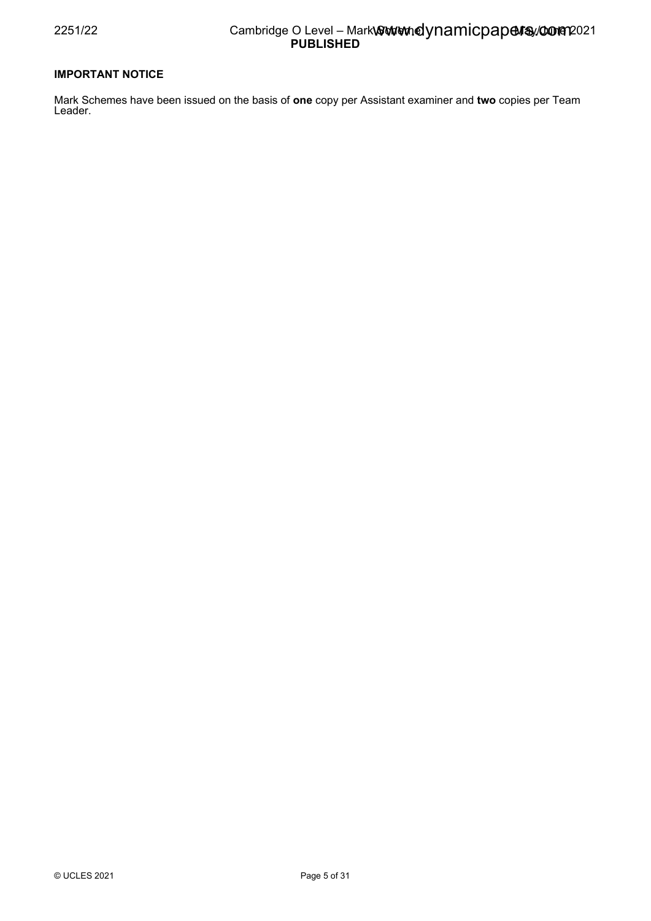## 2251/22 Cambridge O Level – Mark Scheme May/June 2021 www.dynamicpapers.com**PUBLISHED**

## **IMPORTANT NOTICE**

Mark Schemes have been issued on the basis of **one** copy per Assistant examiner and **two** copies per Team Leader.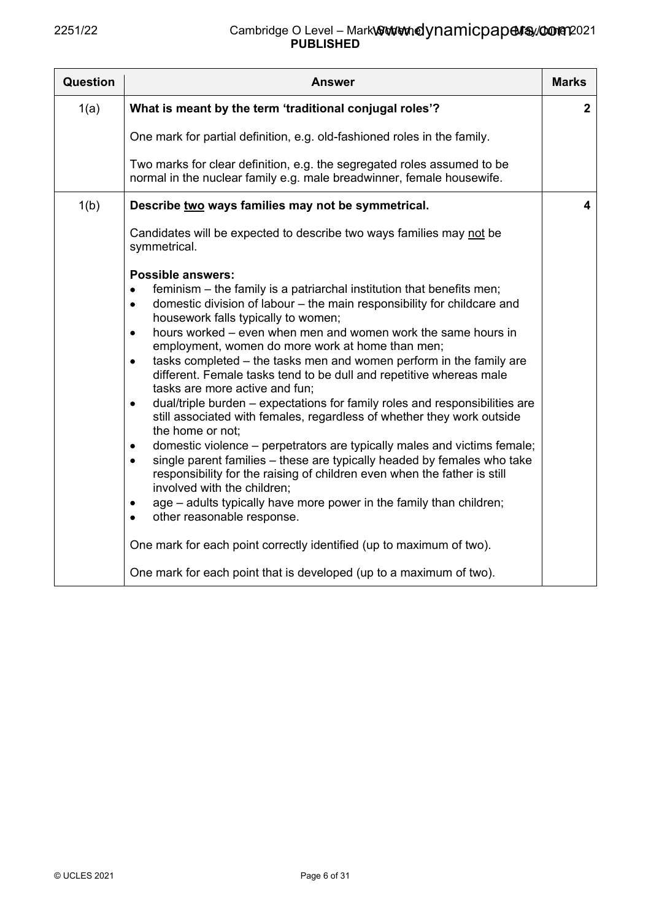| Question | Answer                                                                                                                                                                                                                                                                                                                                                                                                                                                                                                                                                                                                                                                                                                                                                                                                                                                                                                                                                                                                                                                                                                                                                                                                                                                                                         | <b>Marks</b> |
|----------|------------------------------------------------------------------------------------------------------------------------------------------------------------------------------------------------------------------------------------------------------------------------------------------------------------------------------------------------------------------------------------------------------------------------------------------------------------------------------------------------------------------------------------------------------------------------------------------------------------------------------------------------------------------------------------------------------------------------------------------------------------------------------------------------------------------------------------------------------------------------------------------------------------------------------------------------------------------------------------------------------------------------------------------------------------------------------------------------------------------------------------------------------------------------------------------------------------------------------------------------------------------------------------------------|--------------|
| 1(a)     | What is meant by the term 'traditional conjugal roles'?                                                                                                                                                                                                                                                                                                                                                                                                                                                                                                                                                                                                                                                                                                                                                                                                                                                                                                                                                                                                                                                                                                                                                                                                                                        | $\mathbf{2}$ |
|          | One mark for partial definition, e.g. old-fashioned roles in the family.                                                                                                                                                                                                                                                                                                                                                                                                                                                                                                                                                                                                                                                                                                                                                                                                                                                                                                                                                                                                                                                                                                                                                                                                                       |              |
|          | Two marks for clear definition, e.g. the segregated roles assumed to be<br>normal in the nuclear family e.g. male breadwinner, female housewife.                                                                                                                                                                                                                                                                                                                                                                                                                                                                                                                                                                                                                                                                                                                                                                                                                                                                                                                                                                                                                                                                                                                                               |              |
| 1(b)     | Describe two ways families may not be symmetrical.                                                                                                                                                                                                                                                                                                                                                                                                                                                                                                                                                                                                                                                                                                                                                                                                                                                                                                                                                                                                                                                                                                                                                                                                                                             | 4            |
|          | Candidates will be expected to describe two ways families may not be<br>symmetrical.                                                                                                                                                                                                                                                                                                                                                                                                                                                                                                                                                                                                                                                                                                                                                                                                                                                                                                                                                                                                                                                                                                                                                                                                           |              |
|          | <b>Possible answers:</b><br>feminism – the family is a patriarchal institution that benefits men;<br>٠<br>domestic division of labour - the main responsibility for childcare and<br>٠<br>housework falls typically to women;<br>hours worked – even when men and women work the same hours in<br>$\bullet$<br>employment, women do more work at home than men;<br>tasks completed – the tasks men and women perform in the family are<br>$\bullet$<br>different. Female tasks tend to be dull and repetitive whereas male<br>tasks are more active and fun;<br>dual/triple burden – expectations for family roles and responsibilities are<br>$\bullet$<br>still associated with females, regardless of whether they work outside<br>the home or not;<br>domestic violence – perpetrators are typically males and victims female;<br>٠<br>single parent families - these are typically headed by females who take<br>$\bullet$<br>responsibility for the raising of children even when the father is still<br>involved with the children;<br>age - adults typically have more power in the family than children;<br>other reasonable response.<br>One mark for each point correctly identified (up to maximum of two).<br>One mark for each point that is developed (up to a maximum of two). |              |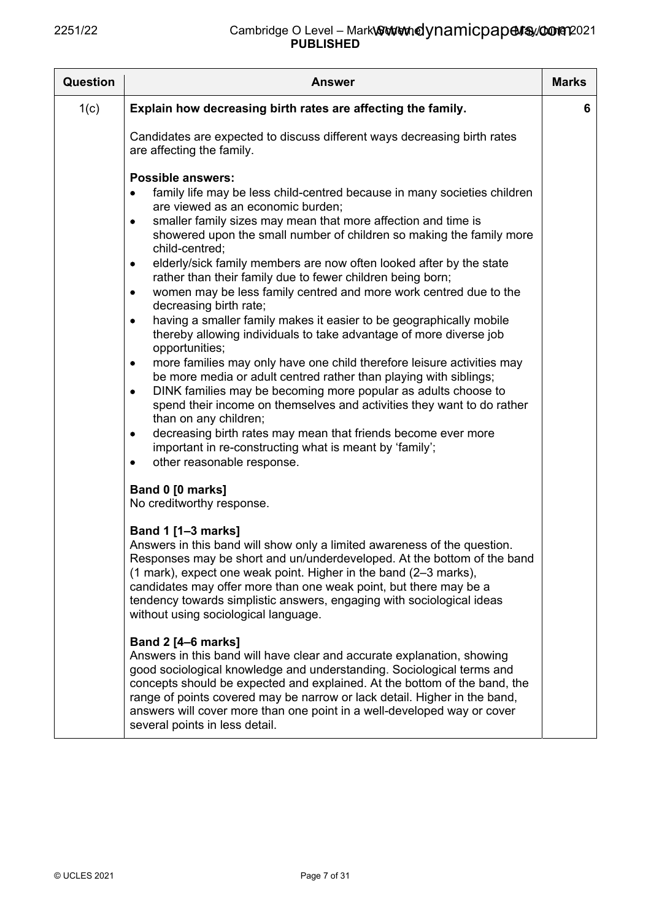| <b>Question</b> | <b>Answer</b>                                                                                                                                                                                                                                                                                                                                                                                                                                                                                                                                                                                                                                                                                                                                                                                                                                                                                                                                                                                                                                                                                                                                                                                                               | <b>Marks</b> |
|-----------------|-----------------------------------------------------------------------------------------------------------------------------------------------------------------------------------------------------------------------------------------------------------------------------------------------------------------------------------------------------------------------------------------------------------------------------------------------------------------------------------------------------------------------------------------------------------------------------------------------------------------------------------------------------------------------------------------------------------------------------------------------------------------------------------------------------------------------------------------------------------------------------------------------------------------------------------------------------------------------------------------------------------------------------------------------------------------------------------------------------------------------------------------------------------------------------------------------------------------------------|--------------|
| 1(c)            | Explain how decreasing birth rates are affecting the family.                                                                                                                                                                                                                                                                                                                                                                                                                                                                                                                                                                                                                                                                                                                                                                                                                                                                                                                                                                                                                                                                                                                                                                | 6            |
|                 | Candidates are expected to discuss different ways decreasing birth rates<br>are affecting the family.                                                                                                                                                                                                                                                                                                                                                                                                                                                                                                                                                                                                                                                                                                                                                                                                                                                                                                                                                                                                                                                                                                                       |              |
|                 | <b>Possible answers:</b><br>family life may be less child-centred because in many societies children<br>are viewed as an economic burden;<br>smaller family sizes may mean that more affection and time is<br>٠<br>showered upon the small number of children so making the family more<br>child-centred:<br>elderly/sick family members are now often looked after by the state<br>٠<br>rather than their family due to fewer children being born;<br>women may be less family centred and more work centred due to the<br>decreasing birth rate;<br>having a smaller family makes it easier to be geographically mobile<br>٠<br>thereby allowing individuals to take advantage of more diverse job<br>opportunities;<br>more families may only have one child therefore leisure activities may<br>be more media or adult centred rather than playing with siblings;<br>DINK families may be becoming more popular as adults choose to<br>$\bullet$<br>spend their income on themselves and activities they want to do rather<br>than on any children;<br>decreasing birth rates may mean that friends become ever more<br>٠<br>important in re-constructing what is meant by 'family';<br>other reasonable response.<br>٠ |              |
|                 | Band 0 [0 marks]<br>No creditworthy response.                                                                                                                                                                                                                                                                                                                                                                                                                                                                                                                                                                                                                                                                                                                                                                                                                                                                                                                                                                                                                                                                                                                                                                               |              |
|                 | <b>Band 1 [1-3 marks]</b><br>Answers in this band will show only a limited awareness of the question.<br>Responses may be short and un/underdeveloped. At the bottom of the band<br>(1 mark), expect one weak point. Higher in the band (2–3 marks),<br>candidates may offer more than one weak point, but there may be a<br>tendency towards simplistic answers, engaging with sociological ideas<br>without using sociological language.                                                                                                                                                                                                                                                                                                                                                                                                                                                                                                                                                                                                                                                                                                                                                                                  |              |
|                 | <b>Band 2 [4-6 marks]</b><br>Answers in this band will have clear and accurate explanation, showing<br>good sociological knowledge and understanding. Sociological terms and<br>concepts should be expected and explained. At the bottom of the band, the<br>range of points covered may be narrow or lack detail. Higher in the band,<br>answers will cover more than one point in a well-developed way or cover<br>several points in less detail.                                                                                                                                                                                                                                                                                                                                                                                                                                                                                                                                                                                                                                                                                                                                                                         |              |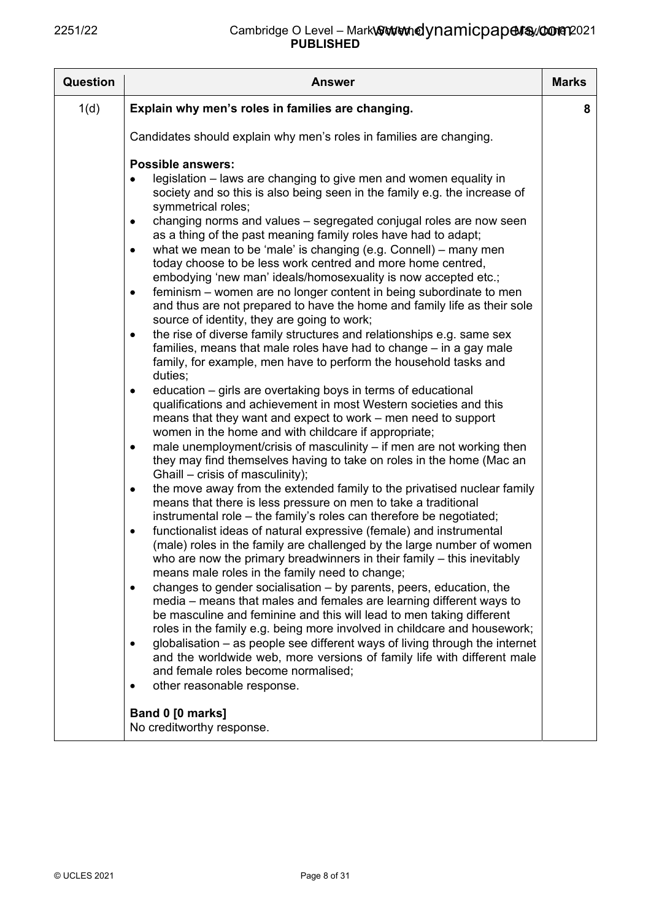| Question | <b>Answer</b>                                                                                                                                                                                                                                                                                                                                                                                                                                                                                                                                                                                                                                                                                                                                                                                                                                                                                                                                                                                                                                                                                                                                                                                                                                                                                                                                                                                                                                                                                                                                                                                                                                                                                                                                                                                                                                                                                                                                                                                                                                                                                                                                                                                                                                                                                                                                                                                                                                                                                                                                                                | <b>Marks</b> |
|----------|------------------------------------------------------------------------------------------------------------------------------------------------------------------------------------------------------------------------------------------------------------------------------------------------------------------------------------------------------------------------------------------------------------------------------------------------------------------------------------------------------------------------------------------------------------------------------------------------------------------------------------------------------------------------------------------------------------------------------------------------------------------------------------------------------------------------------------------------------------------------------------------------------------------------------------------------------------------------------------------------------------------------------------------------------------------------------------------------------------------------------------------------------------------------------------------------------------------------------------------------------------------------------------------------------------------------------------------------------------------------------------------------------------------------------------------------------------------------------------------------------------------------------------------------------------------------------------------------------------------------------------------------------------------------------------------------------------------------------------------------------------------------------------------------------------------------------------------------------------------------------------------------------------------------------------------------------------------------------------------------------------------------------------------------------------------------------------------------------------------------------------------------------------------------------------------------------------------------------------------------------------------------------------------------------------------------------------------------------------------------------------------------------------------------------------------------------------------------------------------------------------------------------------------------------------------------------|--------------|
| 1(d)     | Explain why men's roles in families are changing.                                                                                                                                                                                                                                                                                                                                                                                                                                                                                                                                                                                                                                                                                                                                                                                                                                                                                                                                                                                                                                                                                                                                                                                                                                                                                                                                                                                                                                                                                                                                                                                                                                                                                                                                                                                                                                                                                                                                                                                                                                                                                                                                                                                                                                                                                                                                                                                                                                                                                                                            | 8            |
|          | Candidates should explain why men's roles in families are changing.                                                                                                                                                                                                                                                                                                                                                                                                                                                                                                                                                                                                                                                                                                                                                                                                                                                                                                                                                                                                                                                                                                                                                                                                                                                                                                                                                                                                                                                                                                                                                                                                                                                                                                                                                                                                                                                                                                                                                                                                                                                                                                                                                                                                                                                                                                                                                                                                                                                                                                          |              |
|          | <b>Possible answers:</b><br>legislation – laws are changing to give men and women equality in<br>society and so this is also being seen in the family e.g. the increase of<br>symmetrical roles;<br>changing norms and values - segregated conjugal roles are now seen<br>$\bullet$<br>as a thing of the past meaning family roles have had to adapt;<br>what we mean to be 'male' is changing (e.g. Connell) – many men<br>٠<br>today choose to be less work centred and more home centred,<br>embodying 'new man' ideals/homosexuality is now accepted etc.;<br>feminism – women are no longer content in being subordinate to men<br>٠<br>and thus are not prepared to have the home and family life as their sole<br>source of identity, they are going to work;<br>the rise of diverse family structures and relationships e.g. same sex<br>٠<br>families, means that male roles have had to change – in a gay male<br>family, for example, men have to perform the household tasks and<br>duties;<br>education – girls are overtaking boys in terms of educational<br>٠<br>qualifications and achievement in most Western societies and this<br>means that they want and expect to work – men need to support<br>women in the home and with childcare if appropriate;<br>male unemployment/crisis of masculinity – if men are not working then<br>$\bullet$<br>they may find themselves having to take on roles in the home (Mac an<br>Ghaill – crisis of masculinity);<br>the move away from the extended family to the privatised nuclear family<br>٠<br>means that there is less pressure on men to take a traditional<br>instrumental role – the family's roles can therefore be negotiated;<br>functionalist ideas of natural expressive (female) and instrumental<br>٠<br>(male) roles in the family are challenged by the large number of women<br>who are now the primary breadwinners in their family - this inevitably<br>means male roles in the family need to change;<br>changes to gender socialisation – by parents, peers, education, the<br>$\bullet$<br>media – means that males and females are learning different ways to<br>be masculine and feminine and this will lead to men taking different<br>roles in the family e.g. being more involved in childcare and housework;<br>globalisation – as people see different ways of living through the internet<br>$\bullet$<br>and the worldwide web, more versions of family life with different male<br>and female roles become normalised;<br>other reasonable response.<br>٠<br>Band 0 [0 marks] |              |
|          | No creditworthy response.                                                                                                                                                                                                                                                                                                                                                                                                                                                                                                                                                                                                                                                                                                                                                                                                                                                                                                                                                                                                                                                                                                                                                                                                                                                                                                                                                                                                                                                                                                                                                                                                                                                                                                                                                                                                                                                                                                                                                                                                                                                                                                                                                                                                                                                                                                                                                                                                                                                                                                                                                    |              |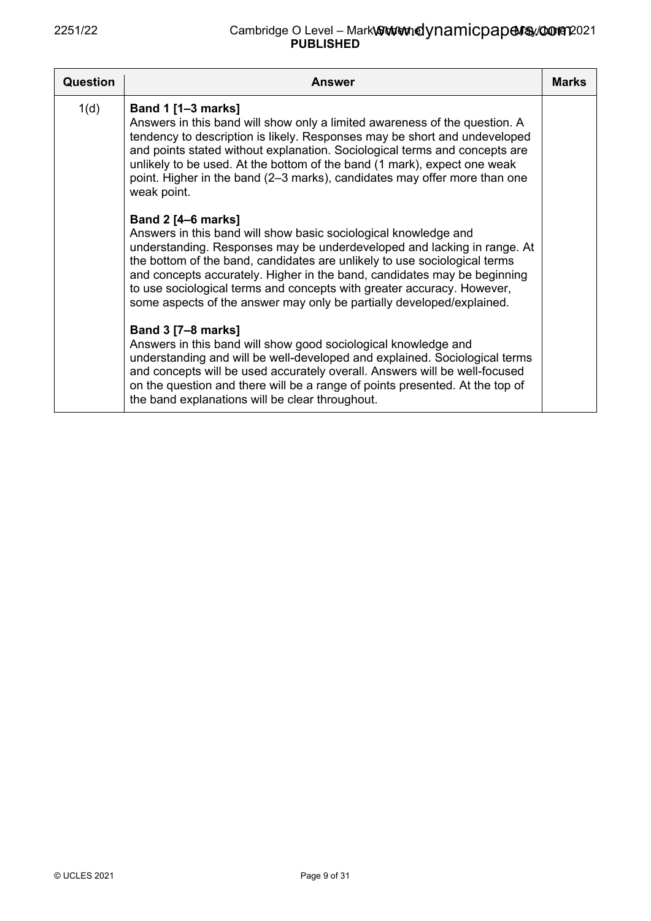| Question | <b>Answer</b>                                                                                                                                                                                                                                                                                                                                                                                                                                                                       | <b>Marks</b> |
|----------|-------------------------------------------------------------------------------------------------------------------------------------------------------------------------------------------------------------------------------------------------------------------------------------------------------------------------------------------------------------------------------------------------------------------------------------------------------------------------------------|--------------|
| 1(d)     | Band 1 [1-3 marks]<br>Answers in this band will show only a limited awareness of the question. A<br>tendency to description is likely. Responses may be short and undeveloped<br>and points stated without explanation. Sociological terms and concepts are<br>unlikely to be used. At the bottom of the band (1 mark), expect one weak<br>point. Higher in the band (2–3 marks), candidates may offer more than one<br>weak point.                                                 |              |
|          | <b>Band 2 [4–6 marks]</b><br>Answers in this band will show basic sociological knowledge and<br>understanding. Responses may be underdeveloped and lacking in range. At<br>the bottom of the band, candidates are unlikely to use sociological terms<br>and concepts accurately. Higher in the band, candidates may be beginning<br>to use sociological terms and concepts with greater accuracy. However,<br>some aspects of the answer may only be partially developed/explained. |              |
|          | <b>Band 3 [7-8 marks]</b><br>Answers in this band will show good sociological knowledge and<br>understanding and will be well-developed and explained. Sociological terms<br>and concepts will be used accurately overall. Answers will be well-focused<br>on the question and there will be a range of points presented. At the top of<br>the band explanations will be clear throughout.                                                                                          |              |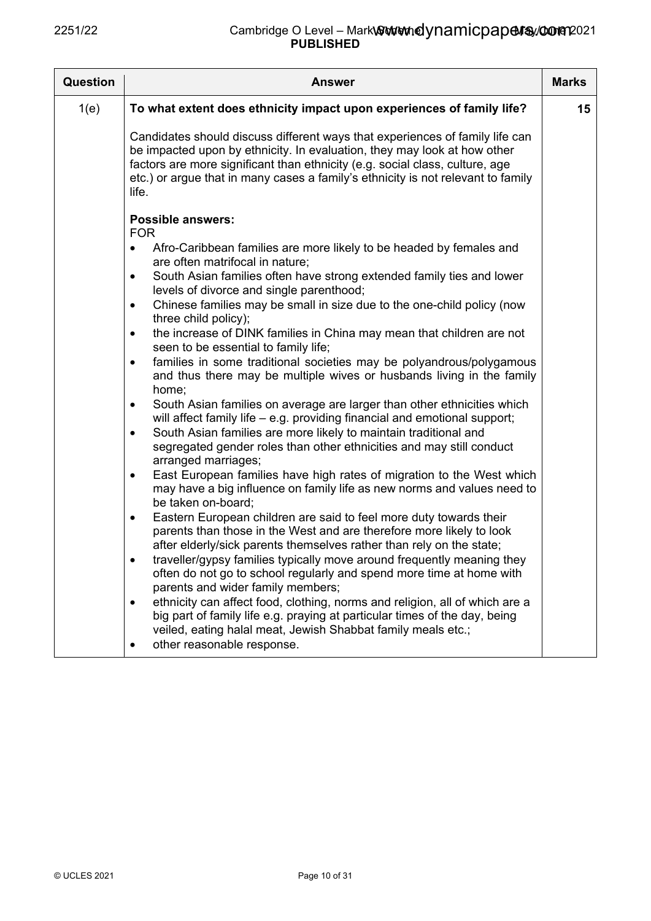| <b>Question</b> | <b>Answer</b>                                                                                                                                                                                                                                                                                                                         | <b>Marks</b> |
|-----------------|---------------------------------------------------------------------------------------------------------------------------------------------------------------------------------------------------------------------------------------------------------------------------------------------------------------------------------------|--------------|
| 1(e)            | To what extent does ethnicity impact upon experiences of family life?                                                                                                                                                                                                                                                                 | 15           |
|                 | Candidates should discuss different ways that experiences of family life can<br>be impacted upon by ethnicity. In evaluation, they may look at how other<br>factors are more significant than ethnicity (e.g. social class, culture, age<br>etc.) or argue that in many cases a family's ethnicity is not relevant to family<br>life. |              |
|                 | <b>Possible answers:</b>                                                                                                                                                                                                                                                                                                              |              |
|                 | <b>FOR</b><br>Afro-Caribbean families are more likely to be headed by females and<br>$\bullet$<br>are often matrifocal in nature;                                                                                                                                                                                                     |              |
|                 | South Asian families often have strong extended family ties and lower<br>$\bullet$<br>levels of divorce and single parenthood;                                                                                                                                                                                                        |              |
|                 | Chinese families may be small in size due to the one-child policy (now<br>$\bullet$<br>three child policy);                                                                                                                                                                                                                           |              |
|                 | the increase of DINK families in China may mean that children are not<br>$\bullet$<br>seen to be essential to family life;                                                                                                                                                                                                            |              |
|                 | families in some traditional societies may be polyandrous/polygamous<br>$\bullet$<br>and thus there may be multiple wives or husbands living in the family<br>home;                                                                                                                                                                   |              |
|                 | South Asian families on average are larger than other ethnicities which<br>$\bullet$<br>will affect family life – e.g. providing financial and emotional support;                                                                                                                                                                     |              |
|                 | South Asian families are more likely to maintain traditional and<br>$\bullet$<br>segregated gender roles than other ethnicities and may still conduct<br>arranged marriages;                                                                                                                                                          |              |
|                 | East European families have high rates of migration to the West which<br>$\bullet$<br>may have a big influence on family life as new norms and values need to<br>be taken on-board;                                                                                                                                                   |              |
|                 | Eastern European children are said to feel more duty towards their<br>$\bullet$<br>parents than those in the West and are therefore more likely to look<br>after elderly/sick parents themselves rather than rely on the state;                                                                                                       |              |
|                 | traveller/gypsy families typically move around frequently meaning they<br>often do not go to school regularly and spend more time at home with<br>parents and wider family members;                                                                                                                                                   |              |
|                 | ethnicity can affect food, clothing, norms and religion, all of which are a<br>$\bullet$<br>big part of family life e.g. praying at particular times of the day, being                                                                                                                                                                |              |
|                 | veiled, eating halal meat, Jewish Shabbat family meals etc.;<br>other reasonable response.<br>٠                                                                                                                                                                                                                                       |              |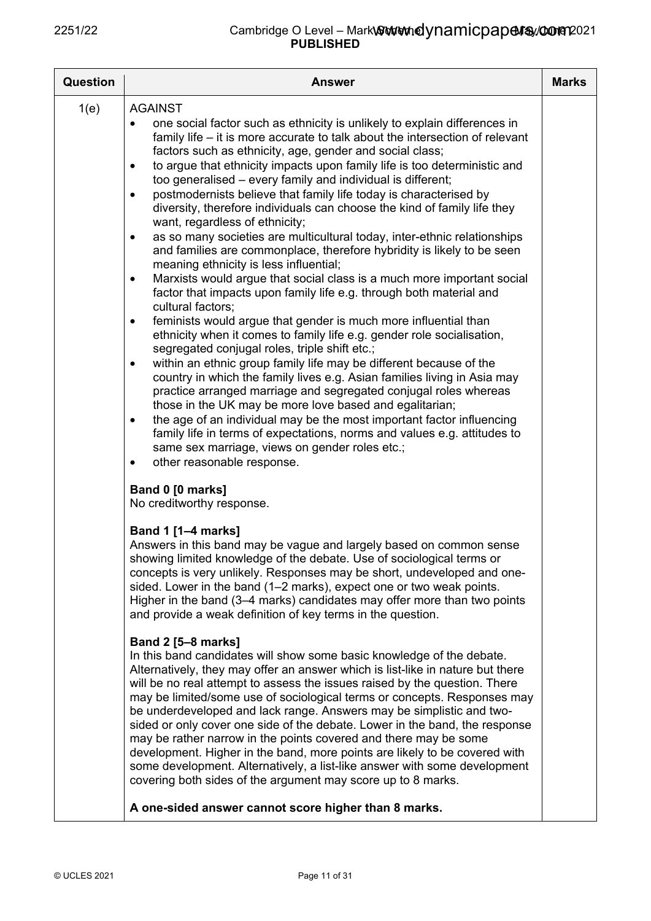| <b>Question</b> | Answer                                                                                                                                                                                                                                                                                                                                                                                                                                                                                                                                                                                                                                                                                                                                                                                                                                                                                                                                                                                                                                                                                                                                                                                                                                                                                                                                                                                                                                                                                                                                                                                                                                                                                                                                           | <b>Marks</b> |
|-----------------|--------------------------------------------------------------------------------------------------------------------------------------------------------------------------------------------------------------------------------------------------------------------------------------------------------------------------------------------------------------------------------------------------------------------------------------------------------------------------------------------------------------------------------------------------------------------------------------------------------------------------------------------------------------------------------------------------------------------------------------------------------------------------------------------------------------------------------------------------------------------------------------------------------------------------------------------------------------------------------------------------------------------------------------------------------------------------------------------------------------------------------------------------------------------------------------------------------------------------------------------------------------------------------------------------------------------------------------------------------------------------------------------------------------------------------------------------------------------------------------------------------------------------------------------------------------------------------------------------------------------------------------------------------------------------------------------------------------------------------------------------|--------------|
| 1(e)            | <b>AGAINST</b><br>one social factor such as ethnicity is unlikely to explain differences in<br>family life – it is more accurate to talk about the intersection of relevant<br>factors such as ethnicity, age, gender and social class;<br>to argue that ethnicity impacts upon family life is too deterministic and<br>$\bullet$<br>too generalised - every family and individual is different;<br>postmodernists believe that family life today is characterised by<br>$\bullet$<br>diversity, therefore individuals can choose the kind of family life they<br>want, regardless of ethnicity;<br>as so many societies are multicultural today, inter-ethnic relationships<br>$\bullet$<br>and families are commonplace, therefore hybridity is likely to be seen<br>meaning ethnicity is less influential;<br>Marxists would argue that social class is a much more important social<br>٠<br>factor that impacts upon family life e.g. through both material and<br>cultural factors;<br>feminists would argue that gender is much more influential than<br>$\bullet$<br>ethnicity when it comes to family life e.g. gender role socialisation,<br>segregated conjugal roles, triple shift etc.;<br>within an ethnic group family life may be different because of the<br>٠<br>country in which the family lives e.g. Asian families living in Asia may<br>practice arranged marriage and segregated conjugal roles whereas<br>those in the UK may be more love based and egalitarian;<br>the age of an individual may be the most important factor influencing<br>$\bullet$<br>family life in terms of expectations, norms and values e.g. attitudes to<br>same sex marriage, views on gender roles etc.;<br>other reasonable response.<br>٠ |              |
|                 | Band 0 [0 marks]<br>No creditworthy response.<br><b>Band 1 [1-4 marks]</b><br>Answers in this band may be vague and largely based on common sense<br>showing limited knowledge of the debate. Use of sociological terms or<br>concepts is very unlikely. Responses may be short, undeveloped and one-<br>sided. Lower in the band (1–2 marks), expect one or two weak points.<br>Higher in the band (3–4 marks) candidates may offer more than two points<br>and provide a weak definition of key terms in the question.<br><b>Band 2 [5-8 marks]</b><br>In this band candidates will show some basic knowledge of the debate.<br>Alternatively, they may offer an answer which is list-like in nature but there<br>will be no real attempt to assess the issues raised by the question. There<br>may be limited/some use of sociological terms or concepts. Responses may<br>be underdeveloped and lack range. Answers may be simplistic and two-<br>sided or only cover one side of the debate. Lower in the band, the response<br>may be rather narrow in the points covered and there may be some<br>development. Higher in the band, more points are likely to be covered with<br>some development. Alternatively, a list-like answer with some development<br>covering both sides of the argument may score up to 8 marks.                                                                                                                                                                                                                                                                                                                                                                                                                 |              |
|                 | A one-sided answer cannot score higher than 8 marks.                                                                                                                                                                                                                                                                                                                                                                                                                                                                                                                                                                                                                                                                                                                                                                                                                                                                                                                                                                                                                                                                                                                                                                                                                                                                                                                                                                                                                                                                                                                                                                                                                                                                                             |              |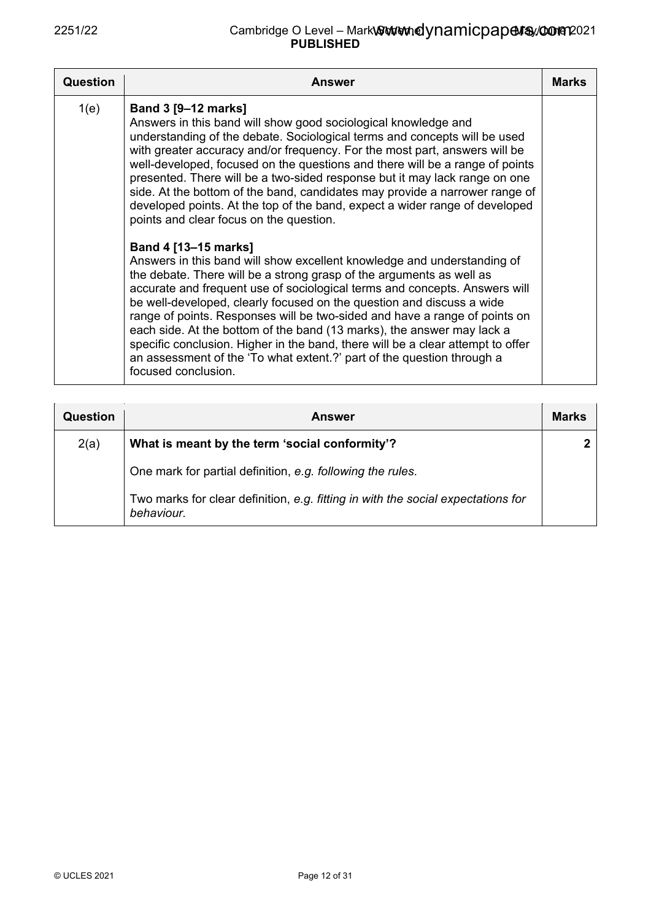| Question | <b>Answer</b>                                                                                                                                                                                                                                                                                                                                                                                                                                                                                                                                                                                                                                                                                                                                                                                                                                                                                                                                                                                                                                                                                                                                                                                                                                                                                                | <b>Marks</b> |
|----------|--------------------------------------------------------------------------------------------------------------------------------------------------------------------------------------------------------------------------------------------------------------------------------------------------------------------------------------------------------------------------------------------------------------------------------------------------------------------------------------------------------------------------------------------------------------------------------------------------------------------------------------------------------------------------------------------------------------------------------------------------------------------------------------------------------------------------------------------------------------------------------------------------------------------------------------------------------------------------------------------------------------------------------------------------------------------------------------------------------------------------------------------------------------------------------------------------------------------------------------------------------------------------------------------------------------|--------------|
| 1(e)     | <b>Band 3 [9-12 marks]</b><br>Answers in this band will show good sociological knowledge and<br>understanding of the debate. Sociological terms and concepts will be used<br>with greater accuracy and/or frequency. For the most part, answers will be<br>well-developed, focused on the questions and there will be a range of points<br>presented. There will be a two-sided response but it may lack range on one<br>side. At the bottom of the band, candidates may provide a narrower range of<br>developed points. At the top of the band, expect a wider range of developed<br>points and clear focus on the question.<br>Band 4 [13-15 marks]<br>Answers in this band will show excellent knowledge and understanding of<br>the debate. There will be a strong grasp of the arguments as well as<br>accurate and frequent use of sociological terms and concepts. Answers will<br>be well-developed, clearly focused on the question and discuss a wide<br>range of points. Responses will be two-sided and have a range of points on<br>each side. At the bottom of the band (13 marks), the answer may lack a<br>specific conclusion. Higher in the band, there will be a clear attempt to offer<br>an assessment of the 'To what extent.?' part of the question through a<br>focused conclusion. |              |

| Question | <b>Answer</b>                                                                                  | <b>Marks</b> |
|----------|------------------------------------------------------------------------------------------------|--------------|
| 2(a)     | What is meant by the term 'social conformity'?                                                 |              |
|          | One mark for partial definition, e.g. following the rules.                                     |              |
|          | Two marks for clear definition, e.g. fitting in with the social expectations for<br>behaviour. |              |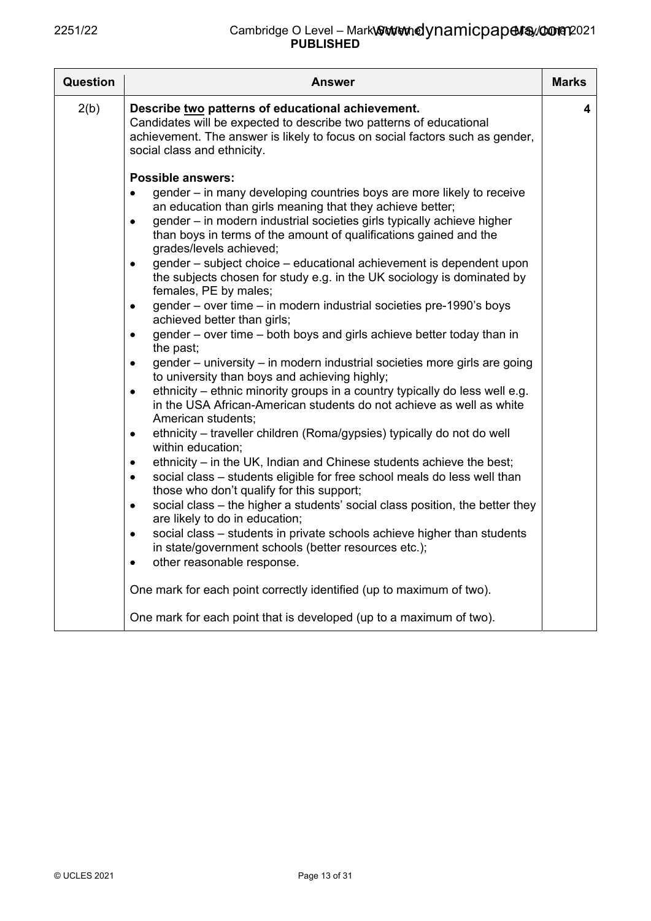| Question | <b>Answer</b>                                                                                                                                                                                                                                                                                                                                                                                                                                                                                                                                                                                                                                                                                                                                                                                                                                                                                                                                                            | <b>Marks</b> |
|----------|--------------------------------------------------------------------------------------------------------------------------------------------------------------------------------------------------------------------------------------------------------------------------------------------------------------------------------------------------------------------------------------------------------------------------------------------------------------------------------------------------------------------------------------------------------------------------------------------------------------------------------------------------------------------------------------------------------------------------------------------------------------------------------------------------------------------------------------------------------------------------------------------------------------------------------------------------------------------------|--------------|
| 2(b)     | Describe two patterns of educational achievement.<br>Candidates will be expected to describe two patterns of educational<br>achievement. The answer is likely to focus on social factors such as gender,<br>social class and ethnicity.                                                                                                                                                                                                                                                                                                                                                                                                                                                                                                                                                                                                                                                                                                                                  | 4            |
|          | <b>Possible answers:</b><br>gender – in many developing countries boys are more likely to receive<br>$\bullet$<br>an education than girls meaning that they achieve better;<br>gender - in modern industrial societies girls typically achieve higher<br>$\bullet$<br>than boys in terms of the amount of qualifications gained and the<br>grades/levels achieved;<br>gender – subject choice – educational achievement is dependent upon<br>$\bullet$<br>the subjects chosen for study e.g. in the UK sociology is dominated by<br>females, PE by males;<br>gender - over time - in modern industrial societies pre-1990's boys<br>$\bullet$<br>achieved better than girls;<br>gender - over time - both boys and girls achieve better today than in<br>$\bullet$<br>the past;<br>gender – university – in modern industrial societies more girls are going<br>٠                                                                                                        |              |
|          | to university than boys and achieving highly;<br>ethnicity – ethnic minority groups in a country typically do less well e.g.<br>$\bullet$<br>in the USA African-American students do not achieve as well as white<br>American students;<br>ethnicity – traveller children (Roma/gypsies) typically do not do well<br>$\bullet$<br>within education;<br>ethnicity – in the UK, Indian and Chinese students achieve the best;<br>$\bullet$<br>social class - students eligible for free school meals do less well than<br>٠<br>those who don't qualify for this support;<br>social class – the higher a students' social class position, the better they<br>$\bullet$<br>are likely to do in education;<br>social class - students in private schools achieve higher than students<br>$\bullet$<br>in state/government schools (better resources etc.);<br>other reasonable response.<br>$\bullet$<br>One mark for each point correctly identified (up to maximum of two). |              |
|          | One mark for each point that is developed (up to a maximum of two).                                                                                                                                                                                                                                                                                                                                                                                                                                                                                                                                                                                                                                                                                                                                                                                                                                                                                                      |              |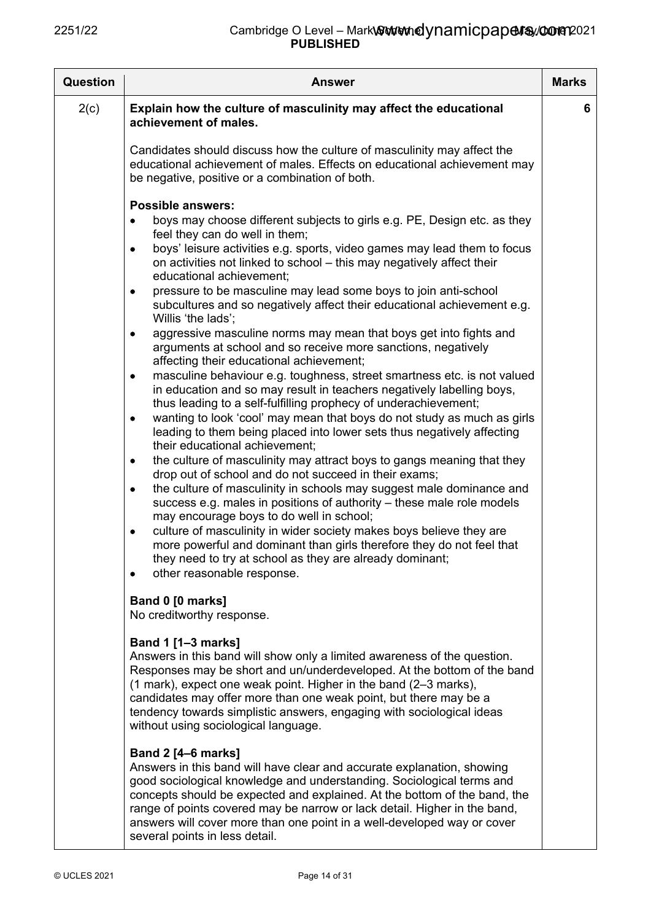| Question | Answer                                                                                                                                                                                                                                                                                                                                                                                                                                                                                                                                                                                                                                                                                                                                                                                                                                                                                                                                                                                                                                                                                                                                                                                                                                                                                                                                                                                                                                                                                                                                                                                                                                                                                                             | <b>Marks</b> |
|----------|--------------------------------------------------------------------------------------------------------------------------------------------------------------------------------------------------------------------------------------------------------------------------------------------------------------------------------------------------------------------------------------------------------------------------------------------------------------------------------------------------------------------------------------------------------------------------------------------------------------------------------------------------------------------------------------------------------------------------------------------------------------------------------------------------------------------------------------------------------------------------------------------------------------------------------------------------------------------------------------------------------------------------------------------------------------------------------------------------------------------------------------------------------------------------------------------------------------------------------------------------------------------------------------------------------------------------------------------------------------------------------------------------------------------------------------------------------------------------------------------------------------------------------------------------------------------------------------------------------------------------------------------------------------------------------------------------------------------|--------------|
| 2(c)     | Explain how the culture of masculinity may affect the educational<br>achievement of males.                                                                                                                                                                                                                                                                                                                                                                                                                                                                                                                                                                                                                                                                                                                                                                                                                                                                                                                                                                                                                                                                                                                                                                                                                                                                                                                                                                                                                                                                                                                                                                                                                         | 6            |
|          | Candidates should discuss how the culture of masculinity may affect the<br>educational achievement of males. Effects on educational achievement may<br>be negative, positive or a combination of both.                                                                                                                                                                                                                                                                                                                                                                                                                                                                                                                                                                                                                                                                                                                                                                                                                                                                                                                                                                                                                                                                                                                                                                                                                                                                                                                                                                                                                                                                                                             |              |
|          | <b>Possible answers:</b><br>boys may choose different subjects to girls e.g. PE, Design etc. as they<br>feel they can do well in them;<br>boys' leisure activities e.g. sports, video games may lead them to focus<br>٠<br>on activities not linked to school – this may negatively affect their<br>educational achievement;<br>pressure to be masculine may lead some boys to join anti-school<br>٠<br>subcultures and so negatively affect their educational achievement e.g.<br>Willis 'the lads';<br>aggressive masculine norms may mean that boys get into fights and<br>٠<br>arguments at school and so receive more sanctions, negatively<br>affecting their educational achievement;<br>masculine behaviour e.g. toughness, street smartness etc. is not valued<br>٠<br>in education and so may result in teachers negatively labelling boys,<br>thus leading to a self-fulfilling prophecy of underachievement;<br>wanting to look 'cool' may mean that boys do not study as much as girls<br>٠<br>leading to them being placed into lower sets thus negatively affecting<br>their educational achievement;<br>the culture of masculinity may attract boys to gangs meaning that they<br>٠<br>drop out of school and do not succeed in their exams;<br>the culture of masculinity in schools may suggest male dominance and<br>٠<br>success e.g. males in positions of authority – these male role models<br>may encourage boys to do well in school;<br>culture of masculinity in wider society makes boys believe they are<br>٠<br>more powerful and dominant than girls therefore they do not feel that<br>they need to try at school as they are already dominant;<br>other reasonable response.<br>٠ |              |
|          | Band 0 [0 marks]<br>No creditworthy response.<br><b>Band 1 [1-3 marks]</b><br>Answers in this band will show only a limited awareness of the question.<br>Responses may be short and un/underdeveloped. At the bottom of the band<br>(1 mark), expect one weak point. Higher in the band (2-3 marks),<br>candidates may offer more than one weak point, but there may be a<br>tendency towards simplistic answers, engaging with sociological ideas<br>without using sociological language.<br><b>Band 2 [4-6 marks]</b><br>Answers in this band will have clear and accurate explanation, showing<br>good sociological knowledge and understanding. Sociological terms and<br>concepts should be expected and explained. At the bottom of the band, the<br>range of points covered may be narrow or lack detail. Higher in the band,<br>answers will cover more than one point in a well-developed way or cover                                                                                                                                                                                                                                                                                                                                                                                                                                                                                                                                                                                                                                                                                                                                                                                                   |              |

several points in less detail.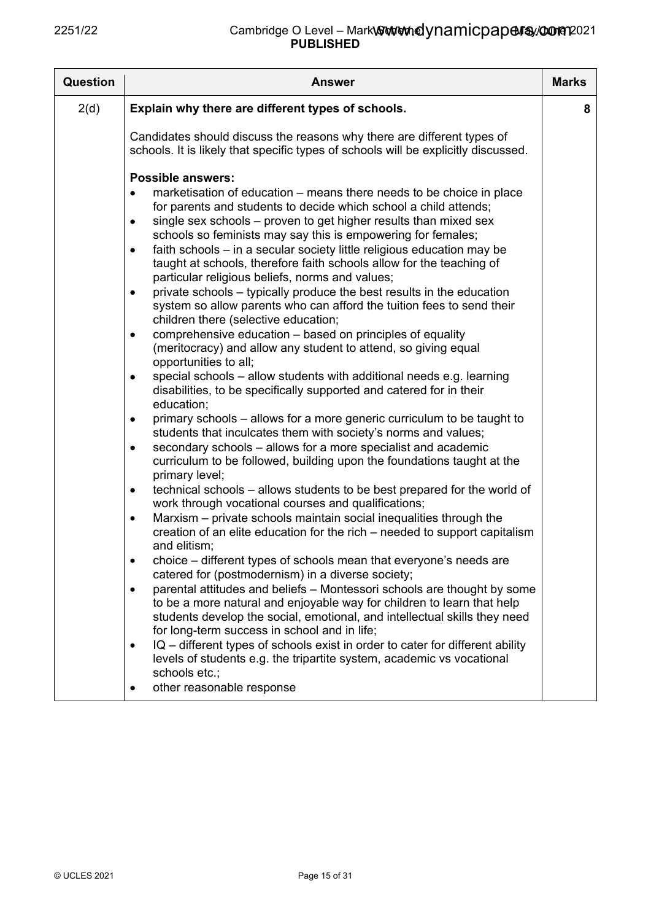| <b>Question</b> | <b>Answer</b>                                                                                                                                                                                                                                                                                                                                                                                                                                                                                                                                                                                                                                                                                                                                                                                                                                                                                                                                                                                                                                                                                                                                                                                                                                                                                                                                                                                                                                                                                                                                                                                                                                                                                                                                                                                                                                                                                                                                                                                                                                                                                                                                                                                                                                                                                                                                                                            | <b>Marks</b> |
|-----------------|------------------------------------------------------------------------------------------------------------------------------------------------------------------------------------------------------------------------------------------------------------------------------------------------------------------------------------------------------------------------------------------------------------------------------------------------------------------------------------------------------------------------------------------------------------------------------------------------------------------------------------------------------------------------------------------------------------------------------------------------------------------------------------------------------------------------------------------------------------------------------------------------------------------------------------------------------------------------------------------------------------------------------------------------------------------------------------------------------------------------------------------------------------------------------------------------------------------------------------------------------------------------------------------------------------------------------------------------------------------------------------------------------------------------------------------------------------------------------------------------------------------------------------------------------------------------------------------------------------------------------------------------------------------------------------------------------------------------------------------------------------------------------------------------------------------------------------------------------------------------------------------------------------------------------------------------------------------------------------------------------------------------------------------------------------------------------------------------------------------------------------------------------------------------------------------------------------------------------------------------------------------------------------------------------------------------------------------------------------------------------------------|--------------|
| 2(d)            | Explain why there are different types of schools.                                                                                                                                                                                                                                                                                                                                                                                                                                                                                                                                                                                                                                                                                                                                                                                                                                                                                                                                                                                                                                                                                                                                                                                                                                                                                                                                                                                                                                                                                                                                                                                                                                                                                                                                                                                                                                                                                                                                                                                                                                                                                                                                                                                                                                                                                                                                        | 8            |
|                 | Candidates should discuss the reasons why there are different types of<br>schools. It is likely that specific types of schools will be explicitly discussed.                                                                                                                                                                                                                                                                                                                                                                                                                                                                                                                                                                                                                                                                                                                                                                                                                                                                                                                                                                                                                                                                                                                                                                                                                                                                                                                                                                                                                                                                                                                                                                                                                                                                                                                                                                                                                                                                                                                                                                                                                                                                                                                                                                                                                             |              |
|                 | <b>Possible answers:</b><br>marketisation of education – means there needs to be choice in place<br>$\bullet$<br>for parents and students to decide which school a child attends;<br>single sex schools - proven to get higher results than mixed sex<br>$\bullet$<br>schools so feminists may say this is empowering for females;<br>faith schools - in a secular society little religious education may be<br>$\bullet$<br>taught at schools, therefore faith schools allow for the teaching of<br>particular religious beliefs, norms and values;<br>private schools – typically produce the best results in the education<br>$\bullet$<br>system so allow parents who can afford the tuition fees to send their<br>children there (selective education;<br>comprehensive education - based on principles of equality<br>$\bullet$<br>(meritocracy) and allow any student to attend, so giving equal<br>opportunities to all;<br>special schools - allow students with additional needs e.g. learning<br>$\bullet$<br>disabilities, to be specifically supported and catered for in their<br>education;<br>primary schools - allows for a more generic curriculum to be taught to<br>٠<br>students that inculcates them with society's norms and values;<br>secondary schools - allows for a more specialist and academic<br>$\bullet$<br>curriculum to be followed, building upon the foundations taught at the<br>primary level;<br>technical schools – allows students to be best prepared for the world of<br>$\bullet$<br>work through vocational courses and qualifications;<br>Marxism - private schools maintain social inequalities through the<br>$\bullet$<br>creation of an elite education for the rich – needed to support capitalism<br>and elitism;<br>choice – different types of schools mean that everyone's needs are<br>catered for (postmodernism) in a diverse society;<br>parental attitudes and beliefs - Montessori schools are thought by some<br>$\bullet$<br>to be a more natural and enjoyable way for children to learn that help<br>students develop the social, emotional, and intellectual skills they need<br>for long-term success in school and in life;<br>IQ - different types of schools exist in order to cater for different ability<br>$\bullet$<br>levels of students e.g. the tripartite system, academic vs vocational<br>schools etc.; |              |
|                 | other reasonable response<br>٠                                                                                                                                                                                                                                                                                                                                                                                                                                                                                                                                                                                                                                                                                                                                                                                                                                                                                                                                                                                                                                                                                                                                                                                                                                                                                                                                                                                                                                                                                                                                                                                                                                                                                                                                                                                                                                                                                                                                                                                                                                                                                                                                                                                                                                                                                                                                                           |              |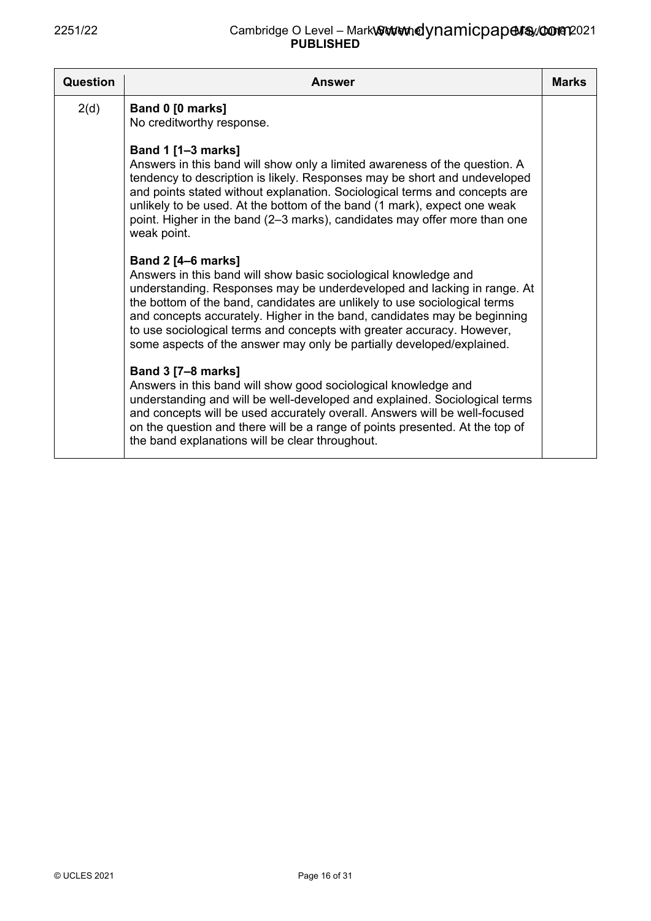| Question | <b>Answer</b>                                                                                                                                                                                                                                                                                                                                                                                                                                                                       | <b>Marks</b> |
|----------|-------------------------------------------------------------------------------------------------------------------------------------------------------------------------------------------------------------------------------------------------------------------------------------------------------------------------------------------------------------------------------------------------------------------------------------------------------------------------------------|--------------|
| 2(d)     | Band 0 [0 marks]<br>No creditworthy response.                                                                                                                                                                                                                                                                                                                                                                                                                                       |              |
|          | <b>Band 1 [1-3 marks]</b><br>Answers in this band will show only a limited awareness of the question. A<br>tendency to description is likely. Responses may be short and undeveloped<br>and points stated without explanation. Sociological terms and concepts are<br>unlikely to be used. At the bottom of the band (1 mark), expect one weak<br>point. Higher in the band (2–3 marks), candidates may offer more than one<br>weak point.                                          |              |
|          | <b>Band 2 [4–6 marks]</b><br>Answers in this band will show basic sociological knowledge and<br>understanding. Responses may be underdeveloped and lacking in range. At<br>the bottom of the band, candidates are unlikely to use sociological terms<br>and concepts accurately. Higher in the band, candidates may be beginning<br>to use sociological terms and concepts with greater accuracy. However,<br>some aspects of the answer may only be partially developed/explained. |              |
|          | <b>Band 3 [7-8 marks]</b><br>Answers in this band will show good sociological knowledge and<br>understanding and will be well-developed and explained. Sociological terms<br>and concepts will be used accurately overall. Answers will be well-focused<br>on the question and there will be a range of points presented. At the top of<br>the band explanations will be clear throughout.                                                                                          |              |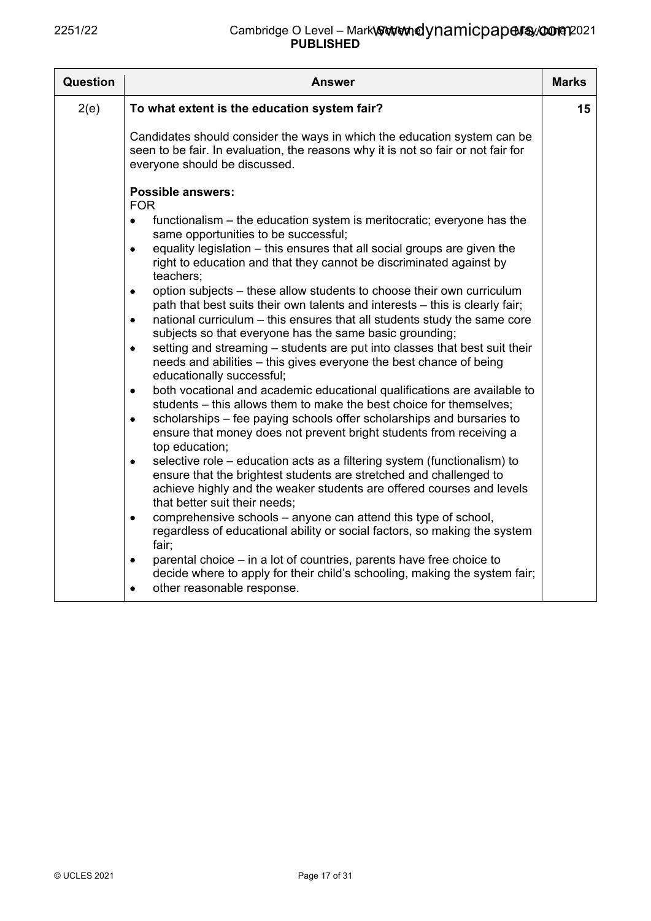| Question | <b>Answer</b>                                                                                                                                                                                                                                                         | <b>Marks</b> |
|----------|-----------------------------------------------------------------------------------------------------------------------------------------------------------------------------------------------------------------------------------------------------------------------|--------------|
| 2(e)     | To what extent is the education system fair?                                                                                                                                                                                                                          | 15           |
|          | Candidates should consider the ways in which the education system can be<br>seen to be fair. In evaluation, the reasons why it is not so fair or not fair for<br>everyone should be discussed.                                                                        |              |
|          | <b>Possible answers:</b><br><b>FOR</b>                                                                                                                                                                                                                                |              |
|          | functionalism – the education system is meritocratic; everyone has the<br>$\bullet$<br>same opportunities to be successful;                                                                                                                                           |              |
|          | equality legislation – this ensures that all social groups are given the<br>$\bullet$<br>right to education and that they cannot be discriminated against by<br>teachers;                                                                                             |              |
|          | option subjects – these allow students to choose their own curriculum<br>$\bullet$<br>path that best suits their own talents and interests - this is clearly fair;                                                                                                    |              |
|          | national curriculum – this ensures that all students study the same core<br>$\bullet$<br>subjects so that everyone has the same basic grounding;                                                                                                                      |              |
|          | setting and streaming – students are put into classes that best suit their<br>$\bullet$<br>needs and abilities - this gives everyone the best chance of being<br>educationally successful;                                                                            |              |
|          | both vocational and academic educational qualifications are available to<br>$\bullet$<br>students – this allows them to make the best choice for themselves;                                                                                                          |              |
|          | scholarships – fee paying schools offer scholarships and bursaries to<br>$\bullet$<br>ensure that money does not prevent bright students from receiving a<br>top education;                                                                                           |              |
|          | selective role – education acts as a filtering system (functionalism) to<br>$\bullet$<br>ensure that the brightest students are stretched and challenged to<br>achieve highly and the weaker students are offered courses and levels<br>that better suit their needs; |              |
|          | comprehensive schools - anyone can attend this type of school,<br>$\bullet$<br>regardless of educational ability or social factors, so making the system<br>fair;                                                                                                     |              |
|          | parental choice - in a lot of countries, parents have free choice to<br>$\bullet$<br>decide where to apply for their child's schooling, making the system fair;<br>other reasonable response.<br>$\bullet$                                                            |              |
|          |                                                                                                                                                                                                                                                                       |              |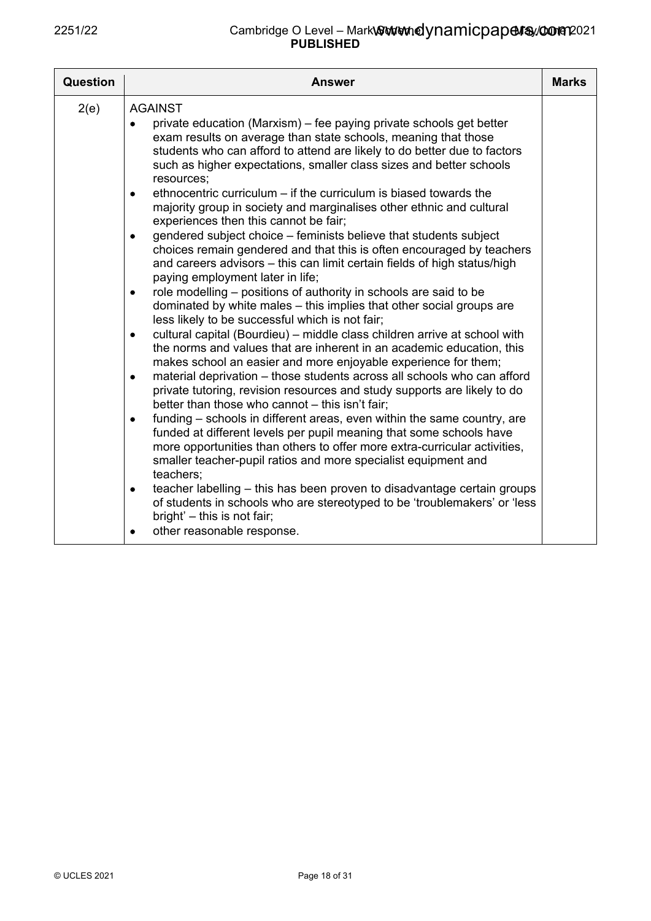| Question | Answer                                                                                                                                                                                                                                                                                                                                                                                                                                                                                                                                                                                                                                                                                                                                                                                                                                                                                                                                                                                                                                                                                                                                                                                                                                                                                                                                                                                                                                                                                                                                                                                                                                                                                                                                                                                                                                                                                                                                                                                                                                            | <b>Marks</b> |
|----------|---------------------------------------------------------------------------------------------------------------------------------------------------------------------------------------------------------------------------------------------------------------------------------------------------------------------------------------------------------------------------------------------------------------------------------------------------------------------------------------------------------------------------------------------------------------------------------------------------------------------------------------------------------------------------------------------------------------------------------------------------------------------------------------------------------------------------------------------------------------------------------------------------------------------------------------------------------------------------------------------------------------------------------------------------------------------------------------------------------------------------------------------------------------------------------------------------------------------------------------------------------------------------------------------------------------------------------------------------------------------------------------------------------------------------------------------------------------------------------------------------------------------------------------------------------------------------------------------------------------------------------------------------------------------------------------------------------------------------------------------------------------------------------------------------------------------------------------------------------------------------------------------------------------------------------------------------------------------------------------------------------------------------------------------------|--------------|
| 2(e)     | <b>AGAINST</b><br>private education (Marxism) – fee paying private schools get better<br>exam results on average than state schools, meaning that those<br>students who can afford to attend are likely to do better due to factors<br>such as higher expectations, smaller class sizes and better schools<br>resources;<br>ethnocentric curriculum – if the curriculum is biased towards the<br>$\bullet$<br>majority group in society and marginalises other ethnic and cultural<br>experiences then this cannot be fair;<br>gendered subject choice – feminists believe that students subject<br>$\bullet$<br>choices remain gendered and that this is often encouraged by teachers<br>and careers advisors - this can limit certain fields of high status/high<br>paying employment later in life;<br>role modelling – positions of authority in schools are said to be<br>$\bullet$<br>dominated by white males – this implies that other social groups are<br>less likely to be successful which is not fair;<br>cultural capital (Bourdieu) – middle class children arrive at school with<br>$\bullet$<br>the norms and values that are inherent in an academic education, this<br>makes school an easier and more enjoyable experience for them;<br>material deprivation - those students across all schools who can afford<br>$\bullet$<br>private tutoring, revision resources and study supports are likely to do<br>better than those who cannot - this isn't fair;<br>funding – schools in different areas, even within the same country, are<br>$\bullet$<br>funded at different levels per pupil meaning that some schools have<br>more opportunities than others to offer more extra-curricular activities,<br>smaller teacher-pupil ratios and more specialist equipment and<br>teachers:<br>teacher labelling – this has been proven to disadvantage certain groups<br>$\bullet$<br>of students in schools who are stereotyped to be 'troublemakers' or 'less<br>bright' - this is not fair;<br>other reasonable response.<br>٠ |              |
|          |                                                                                                                                                                                                                                                                                                                                                                                                                                                                                                                                                                                                                                                                                                                                                                                                                                                                                                                                                                                                                                                                                                                                                                                                                                                                                                                                                                                                                                                                                                                                                                                                                                                                                                                                                                                                                                                                                                                                                                                                                                                   |              |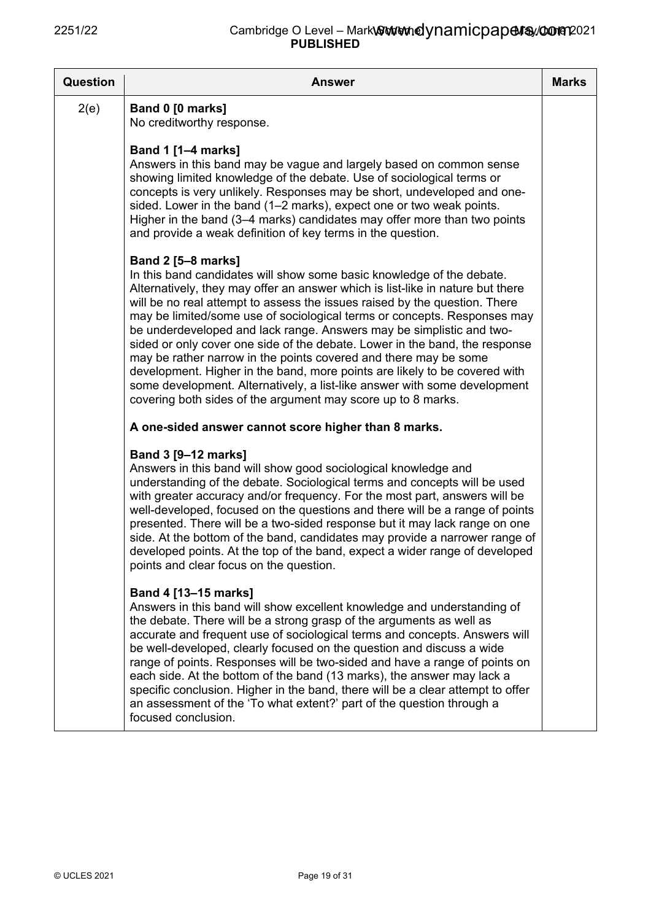| <b>Answer</b>                                                                                                                                                                                                                                                                                                                                                                                                                                                                                                                                                                                                                                                                                                                                                                                        | <b>Marks</b> |
|------------------------------------------------------------------------------------------------------------------------------------------------------------------------------------------------------------------------------------------------------------------------------------------------------------------------------------------------------------------------------------------------------------------------------------------------------------------------------------------------------------------------------------------------------------------------------------------------------------------------------------------------------------------------------------------------------------------------------------------------------------------------------------------------------|--------------|
| Band 0 [0 marks]<br>No creditworthy response.                                                                                                                                                                                                                                                                                                                                                                                                                                                                                                                                                                                                                                                                                                                                                        |              |
| <b>Band 1 [1-4 marks]</b><br>Answers in this band may be vague and largely based on common sense<br>showing limited knowledge of the debate. Use of sociological terms or<br>concepts is very unlikely. Responses may be short, undeveloped and one-<br>sided. Lower in the band (1-2 marks), expect one or two weak points.<br>Higher in the band (3–4 marks) candidates may offer more than two points<br>and provide a weak definition of key terms in the question.                                                                                                                                                                                                                                                                                                                              |              |
| <b>Band 2 [5-8 marks]</b><br>In this band candidates will show some basic knowledge of the debate.<br>Alternatively, they may offer an answer which is list-like in nature but there<br>will be no real attempt to assess the issues raised by the question. There<br>may be limited/some use of sociological terms or concepts. Responses may<br>be underdeveloped and lack range. Answers may be simplistic and two-<br>sided or only cover one side of the debate. Lower in the band, the response<br>may be rather narrow in the points covered and there may be some<br>development. Higher in the band, more points are likely to be covered with<br>some development. Alternatively, a list-like answer with some development<br>covering both sides of the argument may score up to 8 marks. |              |
| A one-sided answer cannot score higher than 8 marks.                                                                                                                                                                                                                                                                                                                                                                                                                                                                                                                                                                                                                                                                                                                                                 |              |
| <b>Band 3 [9–12 marks]</b><br>Answers in this band will show good sociological knowledge and<br>understanding of the debate. Sociological terms and concepts will be used<br>with greater accuracy and/or frequency. For the most part, answers will be<br>well-developed, focused on the questions and there will be a range of points<br>presented. There will be a two-sided response but it may lack range on one<br>side. At the bottom of the band, candidates may provide a narrower range of<br>developed points. At the top of the band, expect a wider range of developed<br>points and clear focus on the question.                                                                                                                                                                       |              |
| Band 4 [13-15 marks]<br>Answers in this band will show excellent knowledge and understanding of<br>the debate. There will be a strong grasp of the arguments as well as<br>accurate and frequent use of sociological terms and concepts. Answers will<br>be well-developed, clearly focused on the question and discuss a wide<br>range of points. Responses will be two-sided and have a range of points on<br>each side. At the bottom of the band (13 marks), the answer may lack a<br>specific conclusion. Higher in the band, there will be a clear attempt to offer<br>an assessment of the 'To what extent?' part of the question through a<br>focused conclusion.                                                                                                                            |              |
|                                                                                                                                                                                                                                                                                                                                                                                                                                                                                                                                                                                                                                                                                                                                                                                                      |              |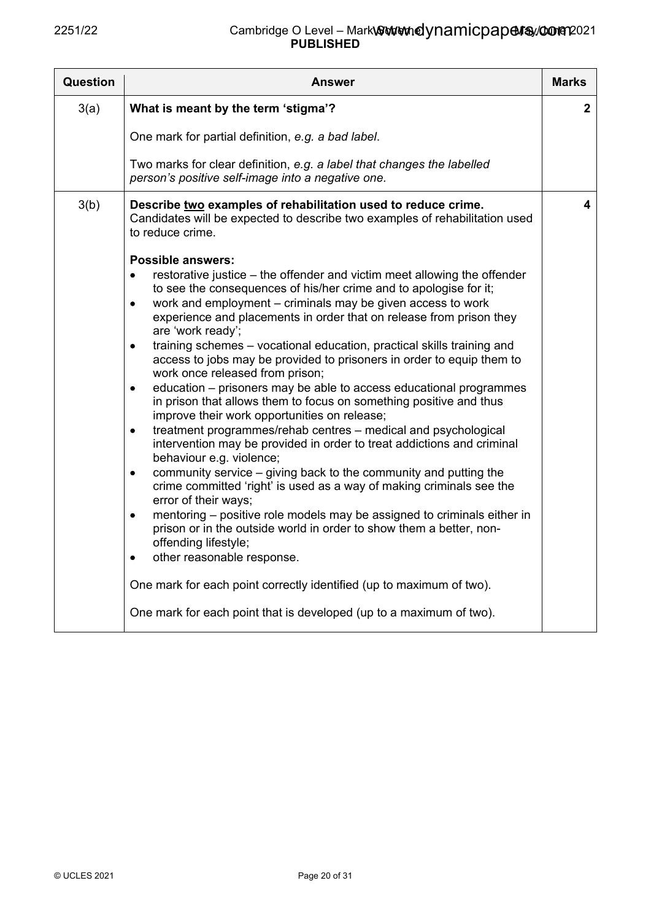| Question | <b>Answer</b>                                                                                                                                                                                                                                                                                                                                                                                                                                                                                                                                                                                                                                                                                                                                                                                                                                                                                                                                                                                                                                                                                                                                                                                                          | <b>Marks</b> |
|----------|------------------------------------------------------------------------------------------------------------------------------------------------------------------------------------------------------------------------------------------------------------------------------------------------------------------------------------------------------------------------------------------------------------------------------------------------------------------------------------------------------------------------------------------------------------------------------------------------------------------------------------------------------------------------------------------------------------------------------------------------------------------------------------------------------------------------------------------------------------------------------------------------------------------------------------------------------------------------------------------------------------------------------------------------------------------------------------------------------------------------------------------------------------------------------------------------------------------------|--------------|
| 3(a)     | What is meant by the term 'stigma'?                                                                                                                                                                                                                                                                                                                                                                                                                                                                                                                                                                                                                                                                                                                                                                                                                                                                                                                                                                                                                                                                                                                                                                                    | $\mathbf{2}$ |
|          | One mark for partial definition, e.g. a bad label.                                                                                                                                                                                                                                                                                                                                                                                                                                                                                                                                                                                                                                                                                                                                                                                                                                                                                                                                                                                                                                                                                                                                                                     |              |
|          | Two marks for clear definition, e.g. a label that changes the labelled<br>person's positive self-image into a negative one.                                                                                                                                                                                                                                                                                                                                                                                                                                                                                                                                                                                                                                                                                                                                                                                                                                                                                                                                                                                                                                                                                            |              |
| 3(b)     | Describe two examples of rehabilitation used to reduce crime.<br>Candidates will be expected to describe two examples of rehabilitation used<br>to reduce crime.<br><b>Possible answers:</b><br>restorative justice – the offender and victim meet allowing the offender<br>$\bullet$<br>to see the consequences of his/her crime and to apologise for it;<br>work and employment – criminals may be given access to work<br>$\bullet$<br>experience and placements in order that on release from prison they<br>are 'work ready';<br>training schemes - vocational education, practical skills training and<br>$\bullet$<br>access to jobs may be provided to prisoners in order to equip them to<br>work once released from prison;<br>education – prisoners may be able to access educational programmes<br>$\bullet$<br>in prison that allows them to focus on something positive and thus<br>improve their work opportunities on release;<br>treatment programmes/rehab centres - medical and psychological<br>$\bullet$<br>intervention may be provided in order to treat addictions and criminal<br>behaviour e.g. violence;<br>community service $-$ giving back to the community and putting the<br>$\bullet$ | 4            |
|          | crime committed 'right' is used as a way of making criminals see the<br>error of their ways;<br>mentoring - positive role models may be assigned to criminals either in<br>$\bullet$<br>prison or in the outside world in order to show them a better, non-<br>offending lifestyle;                                                                                                                                                                                                                                                                                                                                                                                                                                                                                                                                                                                                                                                                                                                                                                                                                                                                                                                                    |              |
|          | other reasonable response.<br>$\bullet$                                                                                                                                                                                                                                                                                                                                                                                                                                                                                                                                                                                                                                                                                                                                                                                                                                                                                                                                                                                                                                                                                                                                                                                |              |
|          | One mark for each point correctly identified (up to maximum of two).                                                                                                                                                                                                                                                                                                                                                                                                                                                                                                                                                                                                                                                                                                                                                                                                                                                                                                                                                                                                                                                                                                                                                   |              |
|          | One mark for each point that is developed (up to a maximum of two).                                                                                                                                                                                                                                                                                                                                                                                                                                                                                                                                                                                                                                                                                                                                                                                                                                                                                                                                                                                                                                                                                                                                                    |              |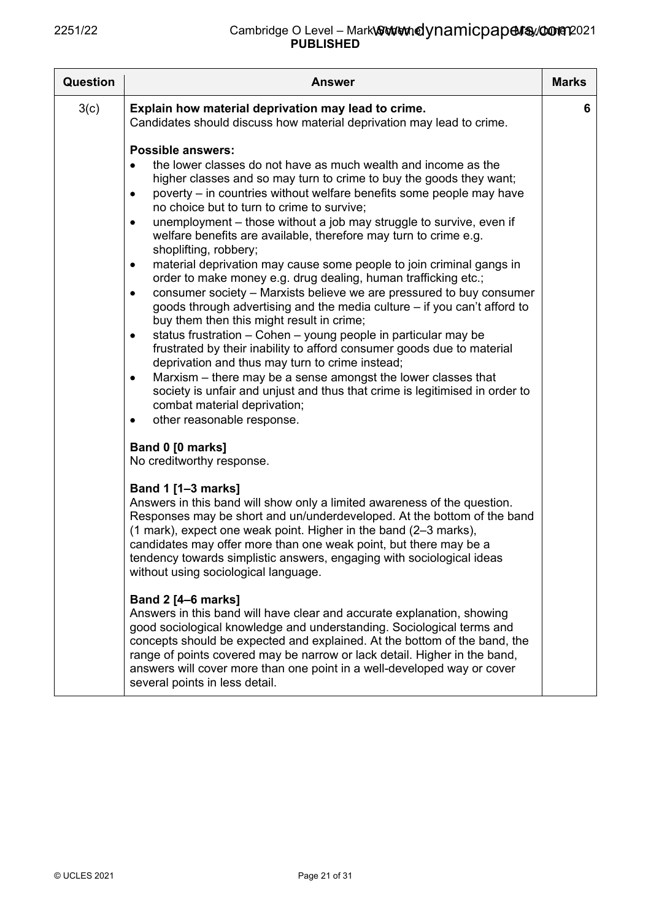| <b>Question</b> | <b>Answer</b>                                                                                                                                                                                                                                                                                                                                                                                                                                                                                                                                                                                                                                                                                                                                                                                                                                                                                                                                                                                                                                                                                                                                                                                                                                                                     | <b>Marks</b> |
|-----------------|-----------------------------------------------------------------------------------------------------------------------------------------------------------------------------------------------------------------------------------------------------------------------------------------------------------------------------------------------------------------------------------------------------------------------------------------------------------------------------------------------------------------------------------------------------------------------------------------------------------------------------------------------------------------------------------------------------------------------------------------------------------------------------------------------------------------------------------------------------------------------------------------------------------------------------------------------------------------------------------------------------------------------------------------------------------------------------------------------------------------------------------------------------------------------------------------------------------------------------------------------------------------------------------|--------------|
| 3(c)            | Explain how material deprivation may lead to crime.<br>Candidates should discuss how material deprivation may lead to crime.                                                                                                                                                                                                                                                                                                                                                                                                                                                                                                                                                                                                                                                                                                                                                                                                                                                                                                                                                                                                                                                                                                                                                      | 6            |
|                 | <b>Possible answers:</b><br>the lower classes do not have as much wealth and income as the<br>higher classes and so may turn to crime to buy the goods they want;<br>poverty – in countries without welfare benefits some people may have<br>$\bullet$<br>no choice but to turn to crime to survive;<br>unemployment – those without a job may struggle to survive, even if<br>$\bullet$<br>welfare benefits are available, therefore may turn to crime e.g.<br>shoplifting, robbery;<br>material deprivation may cause some people to join criminal gangs in<br>٠<br>order to make money e.g. drug dealing, human trafficking etc.;<br>consumer society - Marxists believe we are pressured to buy consumer<br>$\bullet$<br>goods through advertising and the media culture - if you can't afford to<br>buy them then this might result in crime;<br>status frustration - Cohen - young people in particular may be<br>$\bullet$<br>frustrated by their inability to afford consumer goods due to material<br>deprivation and thus may turn to crime instead;<br>Marxism - there may be a sense amongst the lower classes that<br>٠<br>society is unfair and unjust and thus that crime is legitimised in order to<br>combat material deprivation;<br>other reasonable response. |              |
|                 | Band 0 [0 marks]<br>No creditworthy response.                                                                                                                                                                                                                                                                                                                                                                                                                                                                                                                                                                                                                                                                                                                                                                                                                                                                                                                                                                                                                                                                                                                                                                                                                                     |              |
|                 | <b>Band 1 [1-3 marks]</b><br>Answers in this band will show only a limited awareness of the question.<br>Responses may be short and un/underdeveloped. At the bottom of the band<br>(1 mark), expect one weak point. Higher in the band (2-3 marks),<br>candidates may offer more than one weak point, but there may be a<br>tendency towards simplistic answers, engaging with sociological ideas<br>without using sociological language.                                                                                                                                                                                                                                                                                                                                                                                                                                                                                                                                                                                                                                                                                                                                                                                                                                        |              |
|                 | <b>Band 2 [4-6 marks]</b><br>Answers in this band will have clear and accurate explanation, showing<br>good sociological knowledge and understanding. Sociological terms and<br>concepts should be expected and explained. At the bottom of the band, the<br>range of points covered may be narrow or lack detail. Higher in the band,<br>answers will cover more than one point in a well-developed way or cover<br>several points in less detail.                                                                                                                                                                                                                                                                                                                                                                                                                                                                                                                                                                                                                                                                                                                                                                                                                               |              |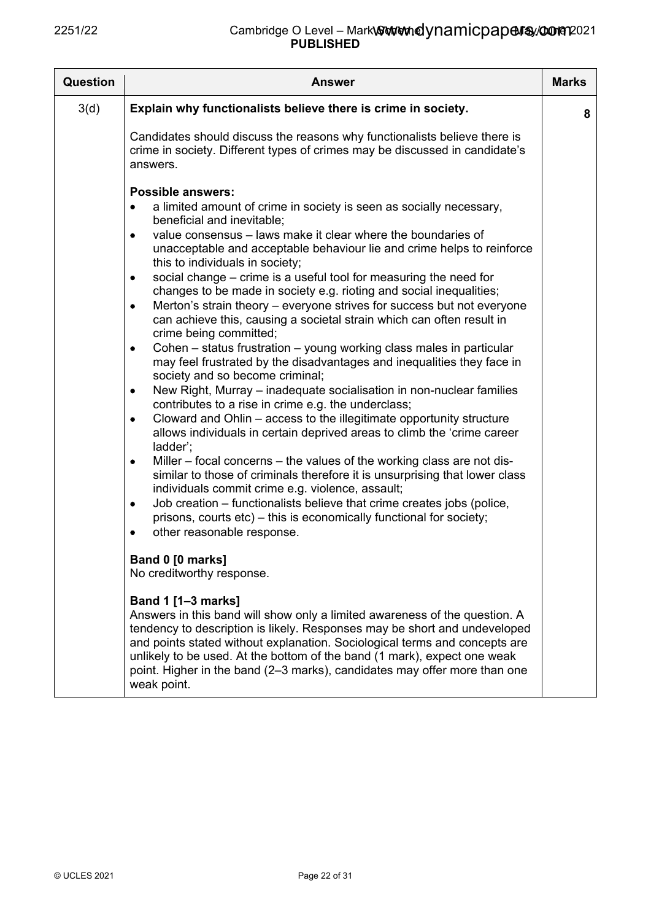| <b>Question</b> | Answer                                                                                                                                                                                                                                                                                                                                                                                                                                     | <b>Marks</b> |
|-----------------|--------------------------------------------------------------------------------------------------------------------------------------------------------------------------------------------------------------------------------------------------------------------------------------------------------------------------------------------------------------------------------------------------------------------------------------------|--------------|
| 3(d)            | Explain why functionalists believe there is crime in society.                                                                                                                                                                                                                                                                                                                                                                              | 8            |
|                 | Candidates should discuss the reasons why functionalists believe there is<br>crime in society. Different types of crimes may be discussed in candidate's<br>answers.                                                                                                                                                                                                                                                                       |              |
|                 | <b>Possible answers:</b>                                                                                                                                                                                                                                                                                                                                                                                                                   |              |
|                 | a limited amount of crime in society is seen as socially necessary,<br>beneficial and inevitable;                                                                                                                                                                                                                                                                                                                                          |              |
|                 | value consensus – laws make it clear where the boundaries of<br>$\bullet$<br>unacceptable and acceptable behaviour lie and crime helps to reinforce<br>this to individuals in society;                                                                                                                                                                                                                                                     |              |
|                 | social change – crime is a useful tool for measuring the need for<br>٠<br>changes to be made in society e.g. rioting and social inequalities;<br>Merton's strain theory – everyone strives for success but not everyone<br>٠                                                                                                                                                                                                               |              |
|                 | can achieve this, causing a societal strain which can often result in<br>crime being committed;<br>Cohen – status frustration – young working class males in particular<br>٠                                                                                                                                                                                                                                                               |              |
|                 | may feel frustrated by the disadvantages and inequalities they face in<br>society and so become criminal;                                                                                                                                                                                                                                                                                                                                  |              |
|                 | New Right, Murray – inadequate socialisation in non-nuclear families<br>$\bullet$<br>contributes to a rise in crime e.g. the underclass;                                                                                                                                                                                                                                                                                                   |              |
|                 | Cloward and Ohlin – access to the illegitimate opportunity structure<br>٠<br>allows individuals in certain deprived areas to climb the 'crime career<br>ladder';                                                                                                                                                                                                                                                                           |              |
|                 | Miller – focal concerns – the values of the working class are not dis-<br>٠<br>similar to those of criminals therefore it is unsurprising that lower class<br>individuals commit crime e.g. violence, assault;                                                                                                                                                                                                                             |              |
|                 | Job creation – functionalists believe that crime creates jobs (police,<br>٠<br>prisons, courts etc) – this is economically functional for society;<br>other reasonable response.                                                                                                                                                                                                                                                           |              |
|                 | Band 0 [0 marks]<br>No creditworthy response.                                                                                                                                                                                                                                                                                                                                                                                              |              |
|                 | <b>Band 1 [1-3 marks]</b><br>Answers in this band will show only a limited awareness of the question. A<br>tendency to description is likely. Responses may be short and undeveloped<br>and points stated without explanation. Sociological terms and concepts are<br>unlikely to be used. At the bottom of the band (1 mark), expect one weak<br>point. Higher in the band (2-3 marks), candidates may offer more than one<br>weak point. |              |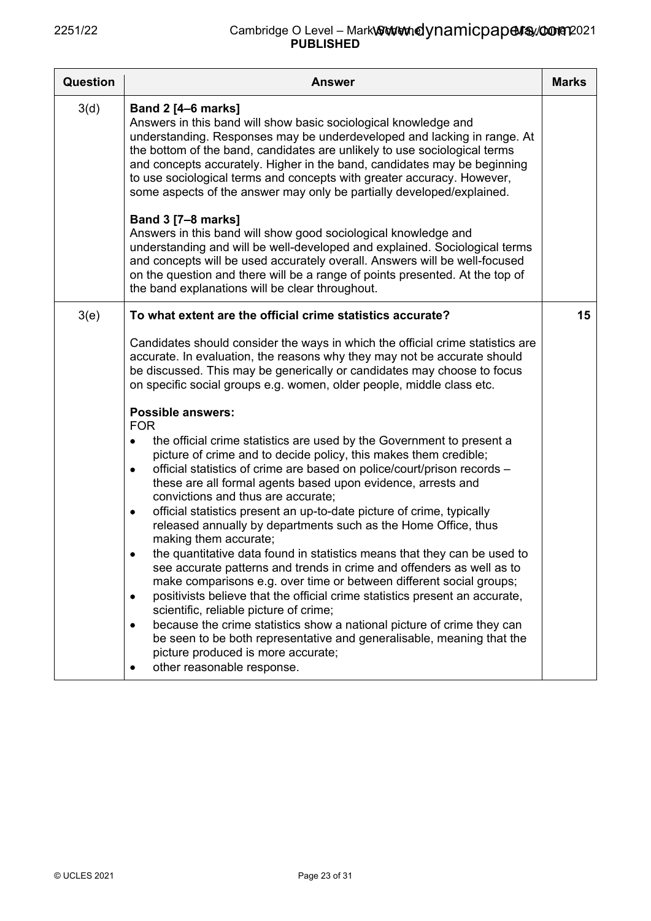| Question | <b>Answer</b>                                                                                                                                                                                                                                                                                                                                                                                                                                                                                                                                                                                                                                                                                                                                                                                                                                                                                                                                                                                                                                                                                                                                                    | <b>Marks</b> |
|----------|------------------------------------------------------------------------------------------------------------------------------------------------------------------------------------------------------------------------------------------------------------------------------------------------------------------------------------------------------------------------------------------------------------------------------------------------------------------------------------------------------------------------------------------------------------------------------------------------------------------------------------------------------------------------------------------------------------------------------------------------------------------------------------------------------------------------------------------------------------------------------------------------------------------------------------------------------------------------------------------------------------------------------------------------------------------------------------------------------------------------------------------------------------------|--------------|
| 3(d)     | <b>Band 2 [4-6 marks]</b><br>Answers in this band will show basic sociological knowledge and<br>understanding. Responses may be underdeveloped and lacking in range. At<br>the bottom of the band, candidates are unlikely to use sociological terms<br>and concepts accurately. Higher in the band, candidates may be beginning<br>to use sociological terms and concepts with greater accuracy. However,<br>some aspects of the answer may only be partially developed/explained.                                                                                                                                                                                                                                                                                                                                                                                                                                                                                                                                                                                                                                                                              |              |
|          | <b>Band 3 [7-8 marks]</b><br>Answers in this band will show good sociological knowledge and<br>understanding and will be well-developed and explained. Sociological terms<br>and concepts will be used accurately overall. Answers will be well-focused<br>on the question and there will be a range of points presented. At the top of<br>the band explanations will be clear throughout.                                                                                                                                                                                                                                                                                                                                                                                                                                                                                                                                                                                                                                                                                                                                                                       |              |
| 3(e)     | To what extent are the official crime statistics accurate?                                                                                                                                                                                                                                                                                                                                                                                                                                                                                                                                                                                                                                                                                                                                                                                                                                                                                                                                                                                                                                                                                                       | 15           |
|          | Candidates should consider the ways in which the official crime statistics are<br>accurate. In evaluation, the reasons why they may not be accurate should<br>be discussed. This may be generically or candidates may choose to focus<br>on specific social groups e.g. women, older people, middle class etc.                                                                                                                                                                                                                                                                                                                                                                                                                                                                                                                                                                                                                                                                                                                                                                                                                                                   |              |
|          | <b>Possible answers:</b><br><b>FOR</b><br>the official crime statistics are used by the Government to present a<br>picture of crime and to decide policy, this makes them credible;<br>official statistics of crime are based on police/court/prison records -<br>$\bullet$<br>these are all formal agents based upon evidence, arrests and<br>convictions and thus are accurate;<br>official statistics present an up-to-date picture of crime, typically<br>$\bullet$<br>released annually by departments such as the Home Office, thus<br>making them accurate;<br>the quantitative data found in statistics means that they can be used to<br>see accurate patterns and trends in crime and offenders as well as to<br>make comparisons e.g. over time or between different social groups;<br>positivists believe that the official crime statistics present an accurate,<br>$\bullet$<br>scientific, reliable picture of crime;<br>because the crime statistics show a national picture of crime they can<br>٠<br>be seen to be both representative and generalisable, meaning that the<br>picture produced is more accurate;<br>other reasonable response. |              |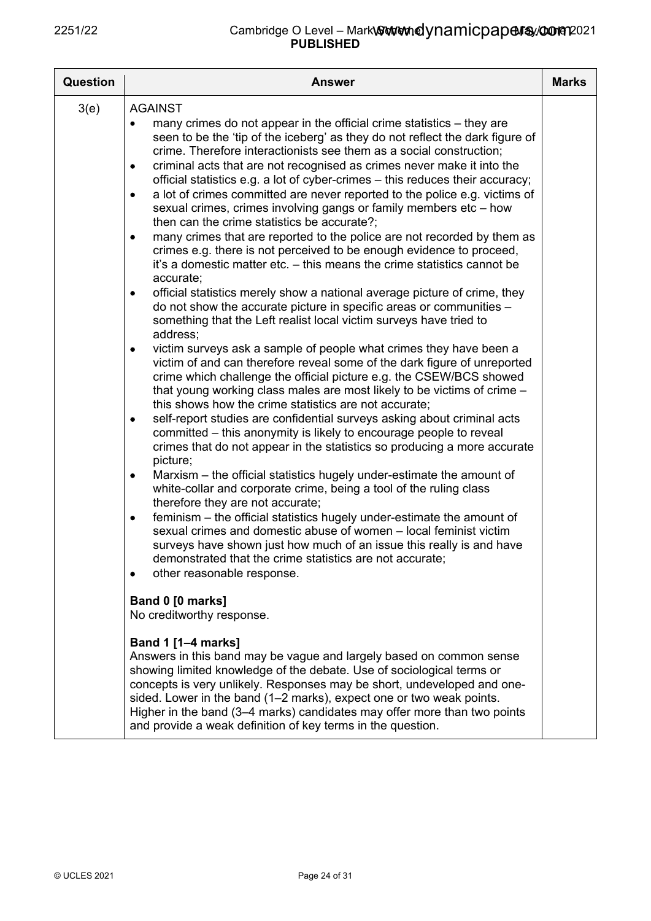| <b>Question</b> | <b>Answer</b>                                                                                                                                                                                                                                                                                                                                                                                                                                                           | <b>Marks</b> |
|-----------------|-------------------------------------------------------------------------------------------------------------------------------------------------------------------------------------------------------------------------------------------------------------------------------------------------------------------------------------------------------------------------------------------------------------------------------------------------------------------------|--------------|
| 3(e)            | <b>AGAINST</b>                                                                                                                                                                                                                                                                                                                                                                                                                                                          |              |
|                 | many crimes do not appear in the official crime statistics – they are<br>٠<br>seen to be the 'tip of the iceberg' as they do not reflect the dark figure of<br>crime. Therefore interactionists see them as a social construction;<br>criminal acts that are not recognised as crimes never make it into the<br>$\bullet$<br>official statistics e.g. a lot of cyber-crimes - this reduces their accuracy;                                                              |              |
|                 | a lot of crimes committed are never reported to the police e.g. victims of<br>$\bullet$<br>sexual crimes, crimes involving gangs or family members etc - how<br>then can the crime statistics be accurate?;                                                                                                                                                                                                                                                             |              |
|                 | many crimes that are reported to the police are not recorded by them as<br>$\bullet$<br>crimes e.g. there is not perceived to be enough evidence to proceed,<br>it's a domestic matter etc. – this means the crime statistics cannot be<br>accurate;                                                                                                                                                                                                                    |              |
|                 | official statistics merely show a national average picture of crime, they<br>٠<br>do not show the accurate picture in specific areas or communities -<br>something that the Left realist local victim surveys have tried to<br>address:                                                                                                                                                                                                                                 |              |
|                 | victim surveys ask a sample of people what crimes they have been a<br>$\bullet$<br>victim of and can therefore reveal some of the dark figure of unreported<br>crime which challenge the official picture e.g. the CSEW/BCS showed<br>that young working class males are most likely to be victims of crime -<br>this shows how the crime statistics are not accurate;                                                                                                  |              |
|                 | self-report studies are confidential surveys asking about criminal acts<br>٠<br>committed – this anonymity is likely to encourage people to reveal<br>crimes that do not appear in the statistics so producing a more accurate<br>picture;                                                                                                                                                                                                                              |              |
|                 | Marxism – the official statistics hugely under-estimate the amount of<br>٠<br>white-collar and corporate crime, being a tool of the ruling class<br>therefore they are not accurate;                                                                                                                                                                                                                                                                                    |              |
|                 | feminism – the official statistics hugely under-estimate the amount of<br>٠<br>sexual crimes and domestic abuse of women - local feminist victim<br>surveys have shown just how much of an issue this really is and have<br>demonstrated that the crime statistics are not accurate;<br>other reasonable response.                                                                                                                                                      |              |
|                 | Band 0 [0 marks]<br>No creditworthy response.                                                                                                                                                                                                                                                                                                                                                                                                                           |              |
|                 | <b>Band 1 [1-4 marks]</b><br>Answers in this band may be vague and largely based on common sense<br>showing limited knowledge of the debate. Use of sociological terms or<br>concepts is very unlikely. Responses may be short, undeveloped and one-<br>sided. Lower in the band (1–2 marks), expect one or two weak points.<br>Higher in the band (3-4 marks) candidates may offer more than two points<br>and provide a weak definition of key terms in the question. |              |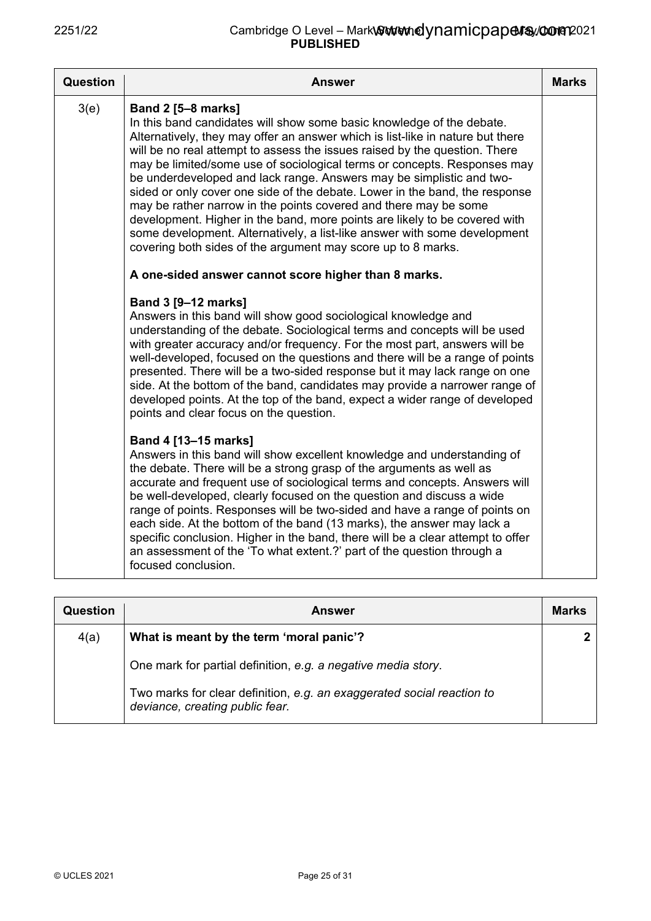| <b>Question</b> | Answer                                                                                                                                                                                                                                                                                                                                                                                                                                                                                                                                                                                                                                                                                                                                                                                               | <b>Marks</b> |
|-----------------|------------------------------------------------------------------------------------------------------------------------------------------------------------------------------------------------------------------------------------------------------------------------------------------------------------------------------------------------------------------------------------------------------------------------------------------------------------------------------------------------------------------------------------------------------------------------------------------------------------------------------------------------------------------------------------------------------------------------------------------------------------------------------------------------------|--------------|
| 3(e)            | <b>Band 2 [5-8 marks]</b><br>In this band candidates will show some basic knowledge of the debate.<br>Alternatively, they may offer an answer which is list-like in nature but there<br>will be no real attempt to assess the issues raised by the question. There<br>may be limited/some use of sociological terms or concepts. Responses may<br>be underdeveloped and lack range. Answers may be simplistic and two-<br>sided or only cover one side of the debate. Lower in the band, the response<br>may be rather narrow in the points covered and there may be some<br>development. Higher in the band, more points are likely to be covered with<br>some development. Alternatively, a list-like answer with some development<br>covering both sides of the argument may score up to 8 marks. |              |
|                 | A one-sided answer cannot score higher than 8 marks.                                                                                                                                                                                                                                                                                                                                                                                                                                                                                                                                                                                                                                                                                                                                                 |              |
|                 | <b>Band 3 [9-12 marks]</b><br>Answers in this band will show good sociological knowledge and<br>understanding of the debate. Sociological terms and concepts will be used<br>with greater accuracy and/or frequency. For the most part, answers will be<br>well-developed, focused on the questions and there will be a range of points<br>presented. There will be a two-sided response but it may lack range on one<br>side. At the bottom of the band, candidates may provide a narrower range of<br>developed points. At the top of the band, expect a wider range of developed<br>points and clear focus on the question.                                                                                                                                                                       |              |
|                 | Band 4 [13-15 marks]<br>Answers in this band will show excellent knowledge and understanding of<br>the debate. There will be a strong grasp of the arguments as well as<br>accurate and frequent use of sociological terms and concepts. Answers will<br>be well-developed, clearly focused on the question and discuss a wide<br>range of points. Responses will be two-sided and have a range of points on<br>each side. At the bottom of the band (13 marks), the answer may lack a<br>specific conclusion. Higher in the band, there will be a clear attempt to offer<br>an assessment of the 'To what extent.?' part of the question through a<br>focused conclusion.                                                                                                                           |              |

| Question | <b>Answer</b>                                                                                             | <b>Marks</b> |
|----------|-----------------------------------------------------------------------------------------------------------|--------------|
| 4(a)     | What is meant by the term 'moral panic'?                                                                  |              |
|          | One mark for partial definition, e.g. a negative media story.                                             |              |
|          | Two marks for clear definition, e.g. an exaggerated social reaction to<br>deviance, creating public fear. |              |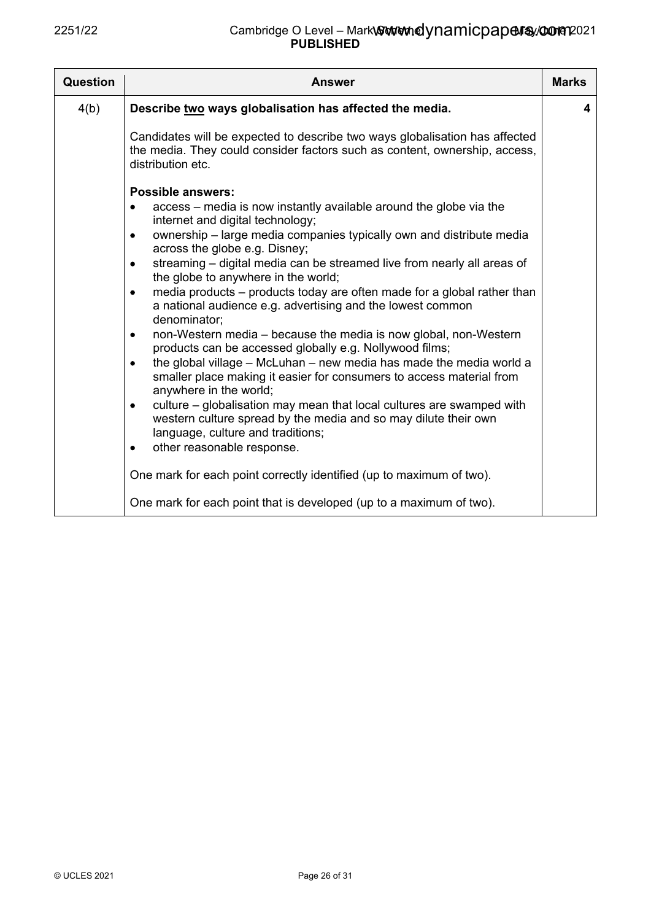| <b>Question</b>                                                                 | Answer                                                                                                                                                                                                                                                                                                                                                                                                                                                                                                                                                                                                                                                                                                                                                                                                                                                                                                                                                                                                                                                                                                                                                                                       | <b>Marks</b> |
|---------------------------------------------------------------------------------|----------------------------------------------------------------------------------------------------------------------------------------------------------------------------------------------------------------------------------------------------------------------------------------------------------------------------------------------------------------------------------------------------------------------------------------------------------------------------------------------------------------------------------------------------------------------------------------------------------------------------------------------------------------------------------------------------------------------------------------------------------------------------------------------------------------------------------------------------------------------------------------------------------------------------------------------------------------------------------------------------------------------------------------------------------------------------------------------------------------------------------------------------------------------------------------------|--------------|
| 4(b)                                                                            | Describe two ways globalisation has affected the media.                                                                                                                                                                                                                                                                                                                                                                                                                                                                                                                                                                                                                                                                                                                                                                                                                                                                                                                                                                                                                                                                                                                                      | 4            |
|                                                                                 | Candidates will be expected to describe two ways globalisation has affected<br>the media. They could consider factors such as content, ownership, access,<br>distribution etc.                                                                                                                                                                                                                                                                                                                                                                                                                                                                                                                                                                                                                                                                                                                                                                                                                                                                                                                                                                                                               |              |
| $\bullet$<br>٠<br>$\bullet$<br>$\bullet$<br>$\bullet$<br>$\bullet$<br>$\bullet$ | <b>Possible answers:</b><br>access – media is now instantly available around the globe via the<br>internet and digital technology;<br>ownership - large media companies typically own and distribute media<br>across the globe e.g. Disney;<br>streaming - digital media can be streamed live from nearly all areas of<br>the globe to anywhere in the world;<br>media products - products today are often made for a global rather than<br>a national audience e.g. advertising and the lowest common<br>denominator;<br>non-Western media – because the media is now global, non-Western<br>products can be accessed globally e.g. Nollywood films;<br>the global village - McLuhan - new media has made the media world a<br>smaller place making it easier for consumers to access material from<br>anywhere in the world;<br>culture – globalisation may mean that local cultures are swamped with<br>western culture spread by the media and so may dilute their own<br>language, culture and traditions;<br>other reasonable response.<br>One mark for each point correctly identified (up to maximum of two).<br>One mark for each point that is developed (up to a maximum of two). |              |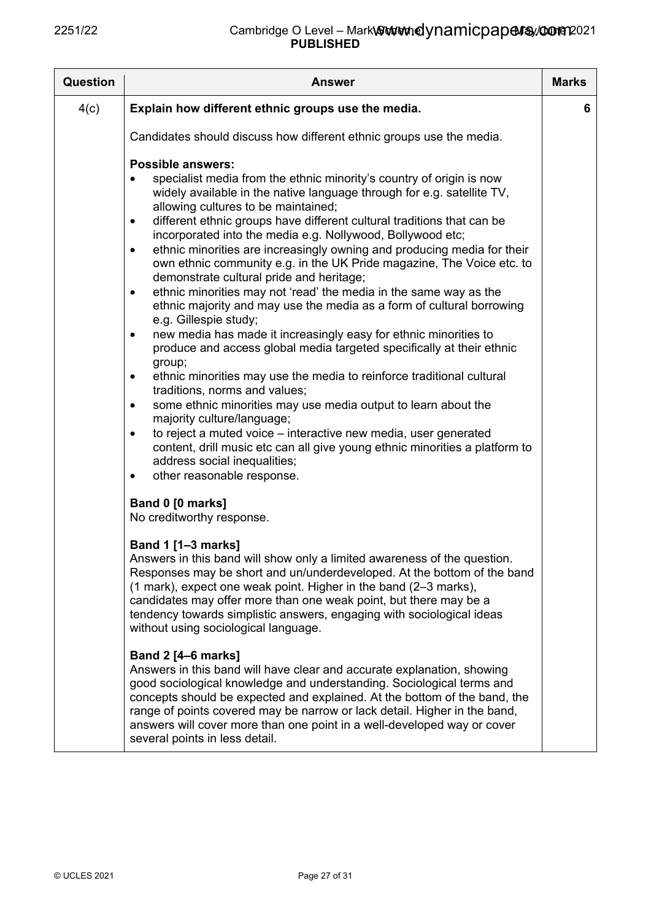| <b>Question</b> | Answer                                                                                                                                                                                                                                                                                                                                                                                                                                                                                                                                                                                                                                                                                                                                                                                                                                                                                                                                                                                                                                                                                                                                                                                                                                                                                                                                                                                                                    | <b>Marks</b> |
|-----------------|---------------------------------------------------------------------------------------------------------------------------------------------------------------------------------------------------------------------------------------------------------------------------------------------------------------------------------------------------------------------------------------------------------------------------------------------------------------------------------------------------------------------------------------------------------------------------------------------------------------------------------------------------------------------------------------------------------------------------------------------------------------------------------------------------------------------------------------------------------------------------------------------------------------------------------------------------------------------------------------------------------------------------------------------------------------------------------------------------------------------------------------------------------------------------------------------------------------------------------------------------------------------------------------------------------------------------------------------------------------------------------------------------------------------------|--------------|
| 4(c)            | Explain how different ethnic groups use the media.                                                                                                                                                                                                                                                                                                                                                                                                                                                                                                                                                                                                                                                                                                                                                                                                                                                                                                                                                                                                                                                                                                                                                                                                                                                                                                                                                                        | 6            |
|                 | Candidates should discuss how different ethnic groups use the media.                                                                                                                                                                                                                                                                                                                                                                                                                                                                                                                                                                                                                                                                                                                                                                                                                                                                                                                                                                                                                                                                                                                                                                                                                                                                                                                                                      |              |
|                 | <b>Possible answers:</b><br>specialist media from the ethnic minority's country of origin is now<br>widely available in the native language through for e.g. satellite TV,<br>allowing cultures to be maintained;<br>different ethnic groups have different cultural traditions that can be<br>$\bullet$<br>incorporated into the media e.g. Nollywood, Bollywood etc;<br>ethnic minorities are increasingly owning and producing media for their<br>$\bullet$<br>own ethnic community e.g. in the UK Pride magazine, The Voice etc. to<br>demonstrate cultural pride and heritage;<br>ethnic minorities may not 'read' the media in the same way as the<br>$\bullet$<br>ethnic majority and may use the media as a form of cultural borrowing<br>e.g. Gillespie study;<br>new media has made it increasingly easy for ethnic minorities to<br>$\bullet$<br>produce and access global media targeted specifically at their ethnic<br>group;<br>ethnic minorities may use the media to reinforce traditional cultural<br>$\bullet$<br>traditions, norms and values;<br>some ethnic minorities may use media output to learn about the<br>$\bullet$<br>majority culture/language;<br>to reject a muted voice - interactive new media, user generated<br>$\bullet$<br>content, drill music etc can all give young ethnic minorities a platform to<br>address social inequalities;<br>other reasonable response.<br>$\bullet$ |              |
|                 | Band 0 [0 marks]<br>No creditworthy response.                                                                                                                                                                                                                                                                                                                                                                                                                                                                                                                                                                                                                                                                                                                                                                                                                                                                                                                                                                                                                                                                                                                                                                                                                                                                                                                                                                             |              |
|                 | Band 1 [1-3 marks]<br>Answers in this band will show only a limited awareness of the question.<br>Responses may be short and un/underdeveloped. At the bottom of the band<br>(1 mark), expect one weak point. Higher in the band (2–3 marks),<br>candidates may offer more than one weak point, but there may be a<br>tendency towards simplistic answers, engaging with sociological ideas<br>without using sociological language.                                                                                                                                                                                                                                                                                                                                                                                                                                                                                                                                                                                                                                                                                                                                                                                                                                                                                                                                                                                       |              |
|                 | <b>Band 2 [4-6 marks]</b><br>Answers in this band will have clear and accurate explanation, showing<br>good sociological knowledge and understanding. Sociological terms and<br>concepts should be expected and explained. At the bottom of the band, the<br>range of points covered may be narrow or lack detail. Higher in the band,<br>answers will cover more than one point in a well-developed way or cover<br>several points in less detail.                                                                                                                                                                                                                                                                                                                                                                                                                                                                                                                                                                                                                                                                                                                                                                                                                                                                                                                                                                       |              |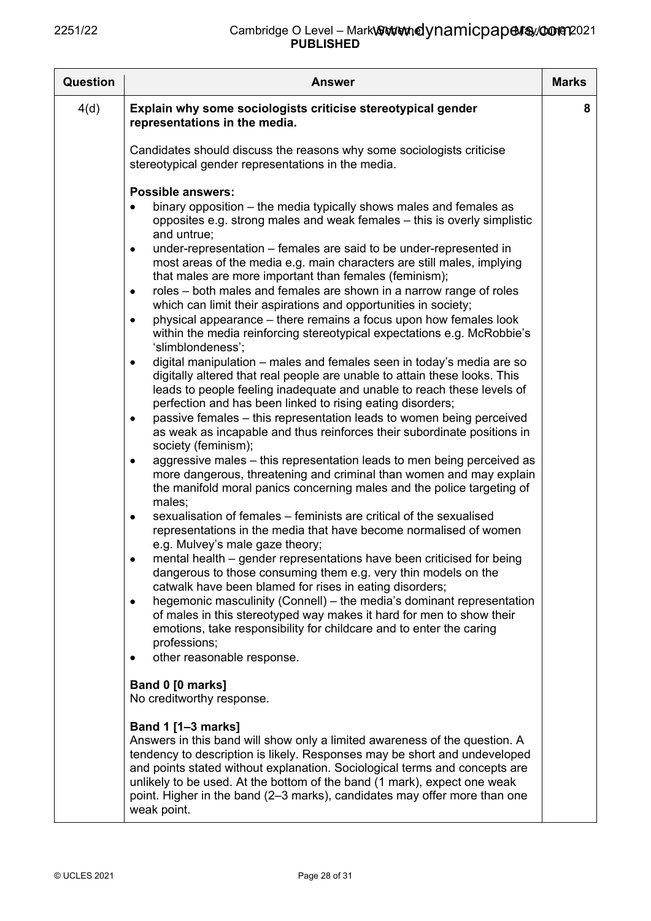| Question | <b>Answer</b>                                                                                                                                                                                                                                                                                                                                                                                                                                                                                                                                                                                                                                                                                                                                                                                                                                                                                                                                                                                                                                                                                                                                                                                                                                                                                                                                                                                                                                                                                                                                                                                                                                                                                                                                                                                                                                                                                                                                                                                                                                                                                                                              | <b>Marks</b> |
|----------|--------------------------------------------------------------------------------------------------------------------------------------------------------------------------------------------------------------------------------------------------------------------------------------------------------------------------------------------------------------------------------------------------------------------------------------------------------------------------------------------------------------------------------------------------------------------------------------------------------------------------------------------------------------------------------------------------------------------------------------------------------------------------------------------------------------------------------------------------------------------------------------------------------------------------------------------------------------------------------------------------------------------------------------------------------------------------------------------------------------------------------------------------------------------------------------------------------------------------------------------------------------------------------------------------------------------------------------------------------------------------------------------------------------------------------------------------------------------------------------------------------------------------------------------------------------------------------------------------------------------------------------------------------------------------------------------------------------------------------------------------------------------------------------------------------------------------------------------------------------------------------------------------------------------------------------------------------------------------------------------------------------------------------------------------------------------------------------------------------------------------------------------|--------------|
| 4(d)     | Explain why some sociologists criticise stereotypical gender<br>representations in the media.                                                                                                                                                                                                                                                                                                                                                                                                                                                                                                                                                                                                                                                                                                                                                                                                                                                                                                                                                                                                                                                                                                                                                                                                                                                                                                                                                                                                                                                                                                                                                                                                                                                                                                                                                                                                                                                                                                                                                                                                                                              | 8            |
|          | Candidates should discuss the reasons why some sociologists criticise<br>stereotypical gender representations in the media.                                                                                                                                                                                                                                                                                                                                                                                                                                                                                                                                                                                                                                                                                                                                                                                                                                                                                                                                                                                                                                                                                                                                                                                                                                                                                                                                                                                                                                                                                                                                                                                                                                                                                                                                                                                                                                                                                                                                                                                                                |              |
|          | <b>Possible answers:</b><br>binary opposition – the media typically shows males and females as<br>opposites e.g. strong males and weak females - this is overly simplistic<br>and untrue;<br>under-representation – females are said to be under-represented in<br>$\bullet$<br>most areas of the media e.g. main characters are still males, implying<br>that males are more important than females (feminism);<br>roles – both males and females are shown in a narrow range of roles<br>٠<br>which can limit their aspirations and opportunities in society;<br>physical appearance – there remains a focus upon how females look<br>٠<br>within the media reinforcing stereotypical expectations e.g. McRobbie's<br>'slimblondeness';<br>digital manipulation – males and females seen in today's media are so<br>٠<br>digitally altered that real people are unable to attain these looks. This<br>leads to people feeling inadequate and unable to reach these levels of<br>perfection and has been linked to rising eating disorders;<br>passive females – this representation leads to women being perceived<br>٠<br>as weak as incapable and thus reinforces their subordinate positions in<br>society (feminism);<br>aggressive males – this representation leads to men being perceived as<br>٠<br>more dangerous, threatening and criminal than women and may explain<br>the manifold moral panics concerning males and the police targeting of<br>males;<br>sexualisation of females – feminists are critical of the sexualised<br>٠<br>representations in the media that have become normalised of women<br>e.g. Mulvey's male gaze theory;<br>mental health – gender representations have been criticised for being<br>dangerous to those consuming them e.g. very thin models on the<br>catwalk have been blamed for rises in eating disorders;<br>hegemonic masculinity (Connell) – the media's dominant representation<br>٠<br>of males in this stereotyped way makes it hard for men to show their<br>emotions, take responsibility for childcare and to enter the caring<br>professions;<br>other reasonable response. |              |
|          | Band 0 [0 marks]<br>No creditworthy response.                                                                                                                                                                                                                                                                                                                                                                                                                                                                                                                                                                                                                                                                                                                                                                                                                                                                                                                                                                                                                                                                                                                                                                                                                                                                                                                                                                                                                                                                                                                                                                                                                                                                                                                                                                                                                                                                                                                                                                                                                                                                                              |              |
|          | <b>Band 1 [1-3 marks]</b><br>Answers in this band will show only a limited awareness of the question. A<br>tendency to description is likely. Responses may be short and undeveloped<br>and points stated without explanation. Sociological terms and concepts are<br>unlikely to be used. At the bottom of the band (1 mark), expect one weak<br>point. Higher in the band (2–3 marks), candidates may offer more than one<br>weak point.                                                                                                                                                                                                                                                                                                                                                                                                                                                                                                                                                                                                                                                                                                                                                                                                                                                                                                                                                                                                                                                                                                                                                                                                                                                                                                                                                                                                                                                                                                                                                                                                                                                                                                 |              |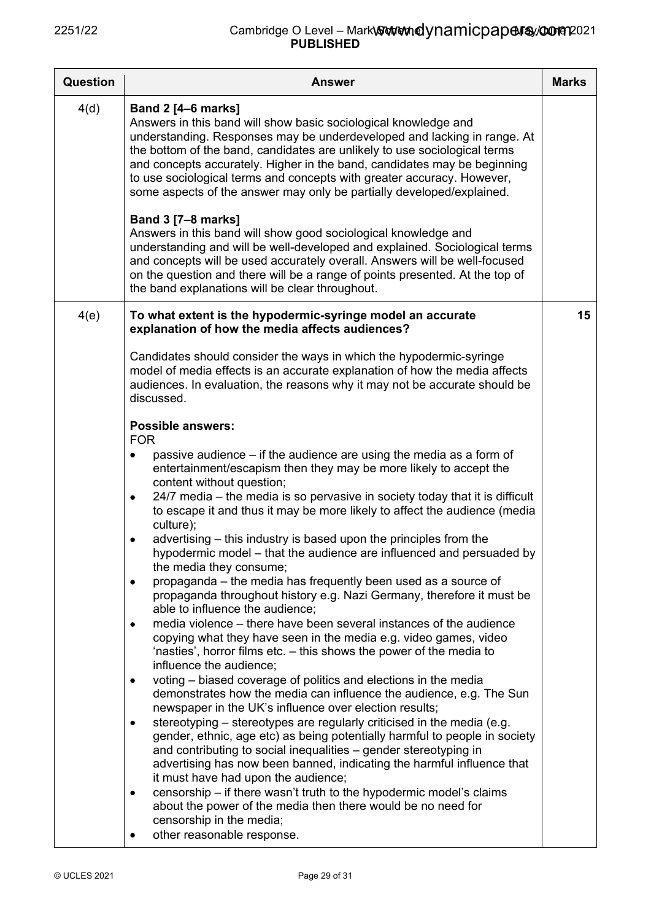| <b>Question</b> | <b>Answer</b>                                                                                                                                                                                                                                                                                                                                                                                                                                                                       | <b>Marks</b> |
|-----------------|-------------------------------------------------------------------------------------------------------------------------------------------------------------------------------------------------------------------------------------------------------------------------------------------------------------------------------------------------------------------------------------------------------------------------------------------------------------------------------------|--------------|
| 4(d)            | <b>Band 2 [4-6 marks]</b><br>Answers in this band will show basic sociological knowledge and<br>understanding. Responses may be underdeveloped and lacking in range. At<br>the bottom of the band, candidates are unlikely to use sociological terms<br>and concepts accurately. Higher in the band, candidates may be beginning<br>to use sociological terms and concepts with greater accuracy. However,<br>some aspects of the answer may only be partially developed/explained. |              |
|                 | Band 3 [7-8 marks]<br>Answers in this band will show good sociological knowledge and<br>understanding and will be well-developed and explained. Sociological terms<br>and concepts will be used accurately overall. Answers will be well-focused<br>on the question and there will be a range of points presented. At the top of<br>the band explanations will be clear throughout.                                                                                                 |              |
| 4(e)            | To what extent is the hypodermic-syringe model an accurate<br>explanation of how the media affects audiences?                                                                                                                                                                                                                                                                                                                                                                       | 15           |
|                 | Candidates should consider the ways in which the hypodermic-syringe<br>model of media effects is an accurate explanation of how the media affects<br>audiences. In evaluation, the reasons why it may not be accurate should be<br>discussed.                                                                                                                                                                                                                                       |              |
|                 | <b>Possible answers:</b><br><b>FOR</b>                                                                                                                                                                                                                                                                                                                                                                                                                                              |              |
|                 | passive audience – if the audience are using the media as a form of<br>٠<br>entertainment/escapism then they may be more likely to accept the<br>content without question;                                                                                                                                                                                                                                                                                                          |              |
|                 | 24/7 media - the media is so pervasive in society today that it is difficult<br>$\bullet$<br>to escape it and thus it may be more likely to affect the audience (media<br>culture);                                                                                                                                                                                                                                                                                                 |              |
|                 | advertising – this industry is based upon the principles from the<br>٠<br>hypodermic model – that the audience are influenced and persuaded by<br>the media they consume;                                                                                                                                                                                                                                                                                                           |              |
|                 | propaganda – the media has frequently been used as a source of<br>$\bullet$<br>propaganda throughout history e.g. Nazi Germany, therefore it must be<br>able to influence the audience;                                                                                                                                                                                                                                                                                             |              |
|                 | media violence – there have been several instances of the audience<br>copying what they have seen in the media e.g. video games, video<br>'nasties', horror films etc. – this shows the power of the media to<br>influence the audience;                                                                                                                                                                                                                                            |              |
|                 | voting – biased coverage of politics and elections in the media<br>٠<br>demonstrates how the media can influence the audience, e.g. The Sun<br>newspaper in the UK's influence over election results;                                                                                                                                                                                                                                                                               |              |
|                 | stereotyping – stereotypes are regularly criticised in the media (e.g.<br>٠<br>gender, ethnic, age etc) as being potentially harmful to people in society<br>and contributing to social inequalities - gender stereotyping in<br>advertising has now been banned, indicating the harmful influence that<br>it must have had upon the audience;                                                                                                                                      |              |
|                 | censorship – if there wasn't truth to the hypodermic model's claims<br>$\bullet$<br>about the power of the media then there would be no need for<br>censorship in the media;<br>other reasonable response.                                                                                                                                                                                                                                                                          |              |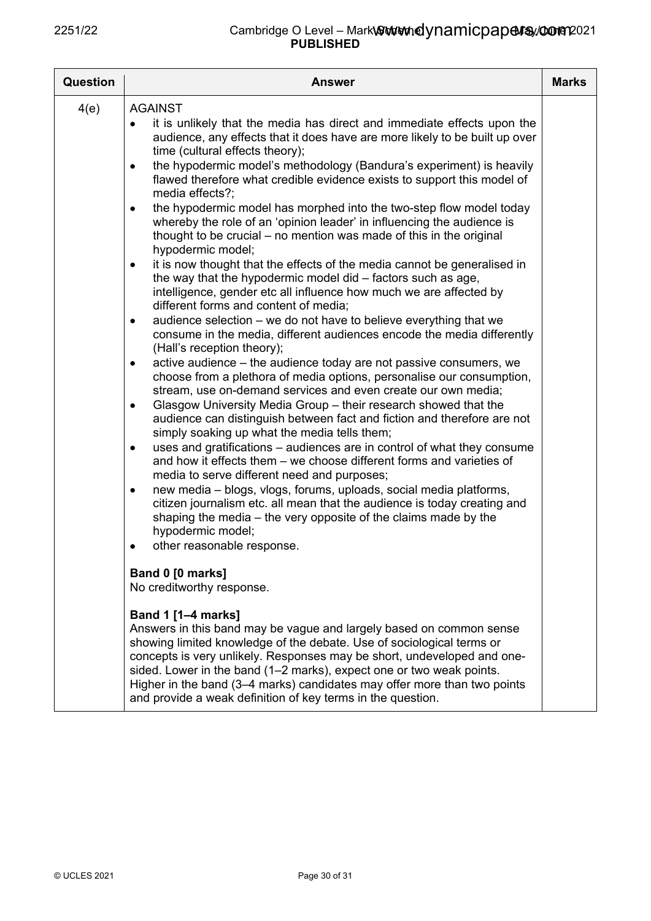| <b>Question</b> | <b>Answer</b>                                                                                                                                                                                                                                                                                                                                                                                                                                                                                                                                                                                                                                                                                                                                                                                                                                                                                                                                                                                                                                                                                                                                                                                                                                                                                                                                                                                                                                                                                                                                                                                                                                                                                                                                                                                                                                                                                                                                                                                                                                                                                                                                                                                                                                                                                                                                                                                                                                                                                                                         | <b>Marks</b> |
|-----------------|---------------------------------------------------------------------------------------------------------------------------------------------------------------------------------------------------------------------------------------------------------------------------------------------------------------------------------------------------------------------------------------------------------------------------------------------------------------------------------------------------------------------------------------------------------------------------------------------------------------------------------------------------------------------------------------------------------------------------------------------------------------------------------------------------------------------------------------------------------------------------------------------------------------------------------------------------------------------------------------------------------------------------------------------------------------------------------------------------------------------------------------------------------------------------------------------------------------------------------------------------------------------------------------------------------------------------------------------------------------------------------------------------------------------------------------------------------------------------------------------------------------------------------------------------------------------------------------------------------------------------------------------------------------------------------------------------------------------------------------------------------------------------------------------------------------------------------------------------------------------------------------------------------------------------------------------------------------------------------------------------------------------------------------------------------------------------------------------------------------------------------------------------------------------------------------------------------------------------------------------------------------------------------------------------------------------------------------------------------------------------------------------------------------------------------------------------------------------------------------------------------------------------------------|--------------|
| 4(e)            | <b>AGAINST</b><br>it is unlikely that the media has direct and immediate effects upon the<br>audience, any effects that it does have are more likely to be built up over<br>time (cultural effects theory);<br>the hypodermic model's methodology (Bandura's experiment) is heavily<br>٠<br>flawed therefore what credible evidence exists to support this model of<br>media effects?:<br>the hypodermic model has morphed into the two-step flow model today<br>٠<br>whereby the role of an 'opinion leader' in influencing the audience is<br>thought to be crucial – no mention was made of this in the original<br>hypodermic model;<br>it is now thought that the effects of the media cannot be generalised in<br>٠<br>the way that the hypodermic model did - factors such as age,<br>intelligence, gender etc all influence how much we are affected by<br>different forms and content of media;<br>audience selection – we do not have to believe everything that we<br>٠<br>consume in the media, different audiences encode the media differently<br>(Hall's reception theory);<br>active audience - the audience today are not passive consumers, we<br>٠<br>choose from a plethora of media options, personalise our consumption,<br>stream, use on-demand services and even create our own media;<br>Glasgow University Media Group – their research showed that the<br>٠<br>audience can distinguish between fact and fiction and therefore are not<br>simply soaking up what the media tells them;<br>uses and gratifications – audiences are in control of what they consume<br>$\bullet$<br>and how it effects them – we choose different forms and varieties of<br>media to serve different need and purposes;<br>new media - blogs, vlogs, forums, uploads, social media platforms,<br>citizen journalism etc. all mean that the audience is today creating and<br>shaping the media - the very opposite of the claims made by the<br>hypodermic model;<br>other reasonable response.<br>Band 0 [0 marks]<br>No creditworthy response.<br><b>Band 1 [1–4 marks]</b><br>Answers in this band may be vague and largely based on common sense<br>showing limited knowledge of the debate. Use of sociological terms or<br>concepts is very unlikely. Responses may be short, undeveloped and one-<br>sided. Lower in the band (1–2 marks), expect one or two weak points.<br>Higher in the band (3–4 marks) candidates may offer more than two points<br>and provide a weak definition of key terms in the question. |              |